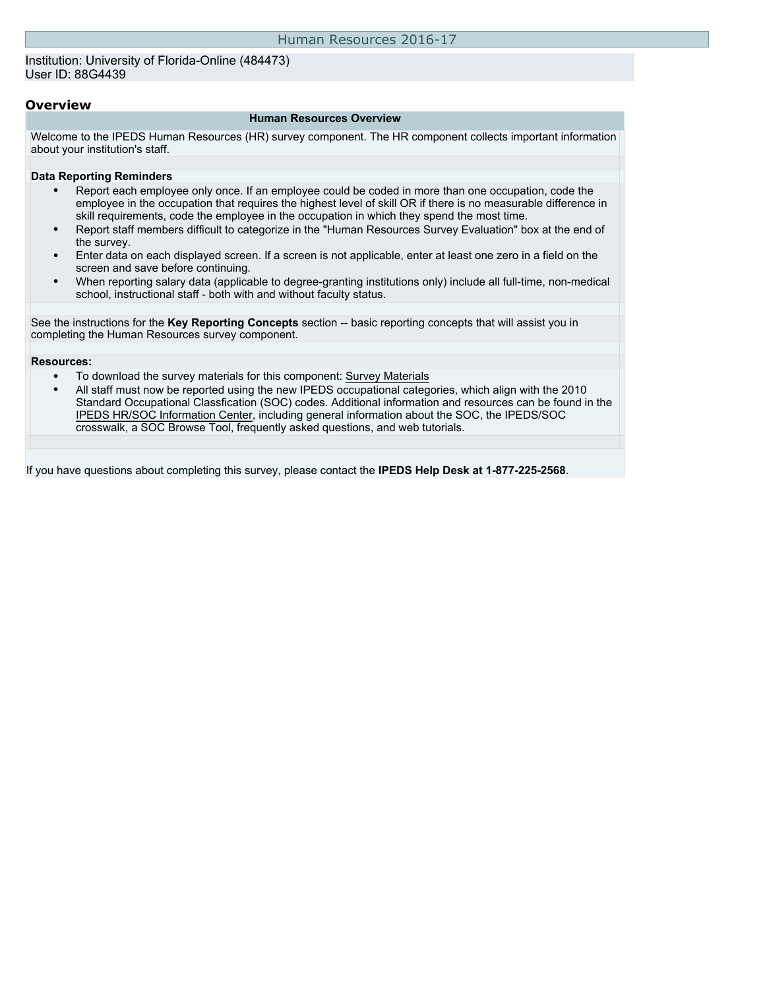Institution: University of Florida-Online (484473) User ID: 88G4439

### **Overview**

#### **Human Resources Overview**

Welcome to the IPEDS Human Resources (HR) survey component. The HR component collects important information about your institution's staff.

#### **Data Reporting Reminders**

- Report each employee only once. If an employee could be coded in more than one occupation, code the employee in the occupation that requires the highest level of skill OR if there is no measurable difference in skill requirements, code the employee in the occupation in which they spend the most time.
- Report staff members difficult to categorize in the "Human Resources Survey Evaluation" box at the end of the survey.
- Enter data on each displayed screen. If a screen is not applicable, enter at least one zero in a field on the screen and save before continuing.
- When reporting salary data (applicable to degree-granting institutions only) include all full-time, non-medical school, instructional staff - both with and without faculty status.

See the instructions for the **Key Reporting Concepts** section -- basic reporting concepts that will assist you in completing the Human Resources survey component.

#### **Resources:**

- To download the survey materials for this component: [Survey Materials](https://surveys.nces.ed.gov/ipeds/VisIndex.aspx)
- All staff must now be reported using the new IPEDS occupational categories, which align with the 2010 Standard Occupational Classfication (SOC) codes. Additional information and resources can be found in the [IPEDS HR/SOC Information Center](http://nces.ed.gov/ipeds/Section/resources_soc), including general information about the SOC, the IPEDS/SOC crosswalk, a SOC Browse Tool, frequently asked questions, and web tutorials.

If you have questions about completing this survey, please contact the **IPEDS Help Desk at 1-877-225-2568**.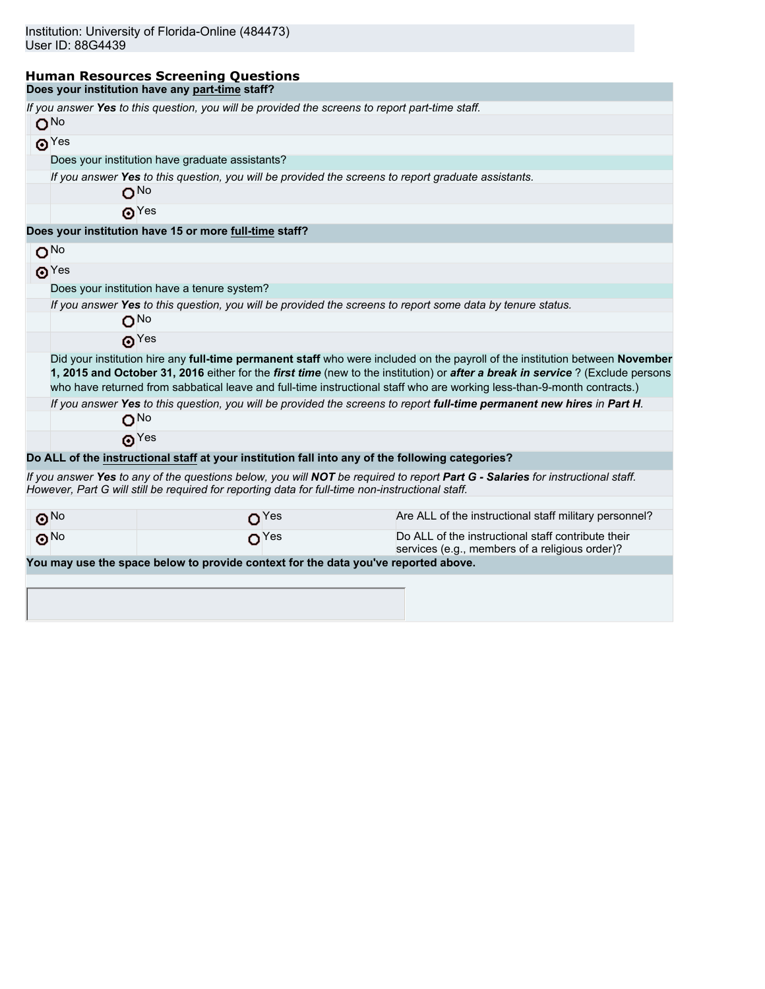### **Human Resources Screening Questions Does your institution have any part-time staff?**

| O <sub>No</sub>       |             | If you answer Yes to this question, you will be provided the screens to report part-time staff.     |                                                                                                                                                                                                                                                                                                                                                                                           |
|-----------------------|-------------|-----------------------------------------------------------------------------------------------------|-------------------------------------------------------------------------------------------------------------------------------------------------------------------------------------------------------------------------------------------------------------------------------------------------------------------------------------------------------------------------------------------|
|                       | $\odot$ Yes |                                                                                                     |                                                                                                                                                                                                                                                                                                                                                                                           |
|                       |             | Does your institution have graduate assistants?                                                     |                                                                                                                                                                                                                                                                                                                                                                                           |
|                       |             | If you answer Yes to this question, you will be provided the screens to report graduate assistants. |                                                                                                                                                                                                                                                                                                                                                                                           |
|                       |             | O <sub>No</sub>                                                                                     |                                                                                                                                                                                                                                                                                                                                                                                           |
|                       |             | $\odot$ Yes                                                                                         |                                                                                                                                                                                                                                                                                                                                                                                           |
|                       |             | Does your institution have 15 or more full-time staff?                                              |                                                                                                                                                                                                                                                                                                                                                                                           |
| O <sub>No</sub>       |             |                                                                                                     |                                                                                                                                                                                                                                                                                                                                                                                           |
|                       | $\odot$ Yes |                                                                                                     |                                                                                                                                                                                                                                                                                                                                                                                           |
|                       |             | Does your institution have a tenure system?                                                         |                                                                                                                                                                                                                                                                                                                                                                                           |
|                       |             | O <sub>No</sub>                                                                                     | If you answer Yes to this question, you will be provided the screens to report some data by tenure status.                                                                                                                                                                                                                                                                                |
|                       |             | $\odot$ Yes                                                                                         |                                                                                                                                                                                                                                                                                                                                                                                           |
|                       |             |                                                                                                     | Did your institution hire any full-time permanent staff who were included on the payroll of the institution between November<br>1, 2015 and October 31, 2016 either for the first time (new to the institution) or after a break in service ? (Exclude persons<br>who have returned from sabbatical leave and full-time instructional staff who are working less-than-9-month contracts.) |
|                       |             | O <sup>No</sup>                                                                                     | If you answer Yes to this question, you will be provided the screens to report full-time permanent new hires in Part H.                                                                                                                                                                                                                                                                   |
|                       |             | $\boldsymbol{\Theta}^{\text{Yes}}$                                                                  |                                                                                                                                                                                                                                                                                                                                                                                           |
|                       |             | Do ALL of the instructional staff at your institution fall into any of the following categories?    |                                                                                                                                                                                                                                                                                                                                                                                           |
|                       |             | However, Part G will still be required for reporting data for full-time non-instructional staff.    | If you answer Yes to any of the questions below, you will NOT be required to report Part G - Salaries for instructional staff.                                                                                                                                                                                                                                                            |
| $\odot$ <sup>No</sup> |             | O <sup>Yes</sup>                                                                                    | Are ALL of the instructional staff military personnel?                                                                                                                                                                                                                                                                                                                                    |
| $\odot$ <sup>No</sup> |             | $\Omega$ <sup>Yes</sup>                                                                             | Do ALL of the instructional staff contribute their<br>services (e.g., members of a religious order)?                                                                                                                                                                                                                                                                                      |
|                       |             | You may use the space below to provide context for the data you've reported above.                  |                                                                                                                                                                                                                                                                                                                                                                                           |
|                       |             |                                                                                                     |                                                                                                                                                                                                                                                                                                                                                                                           |
|                       |             |                                                                                                     |                                                                                                                                                                                                                                                                                                                                                                                           |
|                       |             |                                                                                                     |                                                                                                                                                                                                                                                                                                                                                                                           |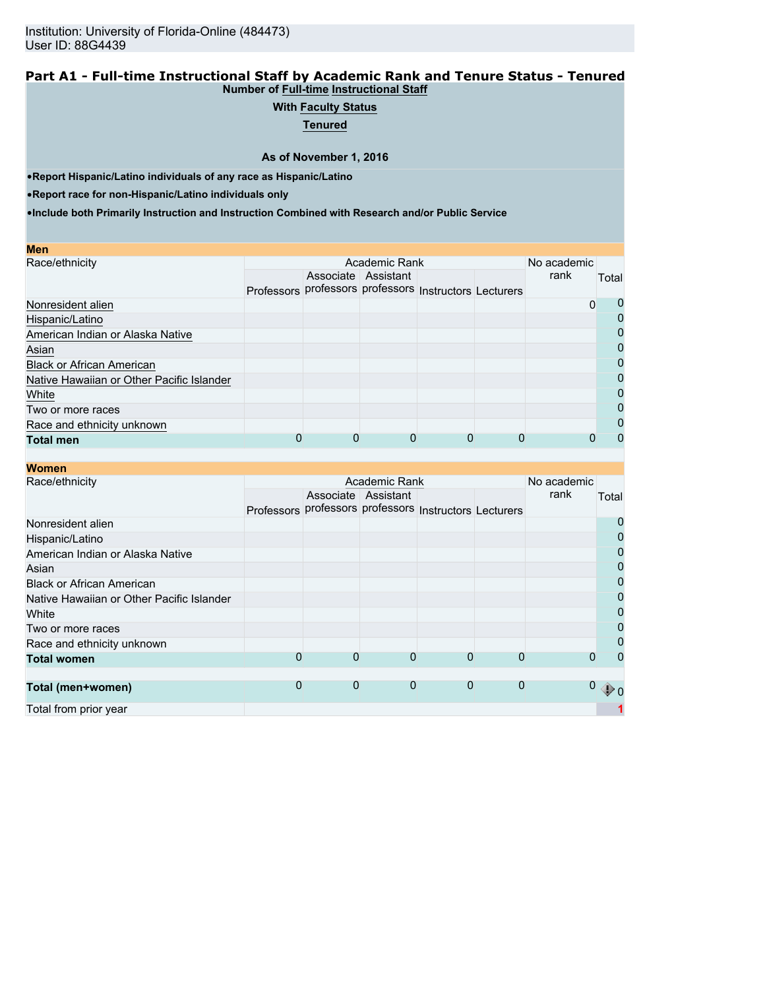### **Part A1 - Full-time Instructional Staff by Academic Rank and Tenure Status - Tenured Number of Full-time Instructional Staff**

## **With Faculty Status**

**Tenured**

**As of November 1, 2016**

•**Report Hispanic/Latino individuals of any race as Hispanic/Latino**

•**Report race for non-Hispanic/Latino individuals only**

| <b>Men</b>                                |                                                        |                     |  |      |              |
|-------------------------------------------|--------------------------------------------------------|---------------------|--|------|--------------|
| Race/ethnicity                            |                                                        | No academic         |  |      |              |
|                                           |                                                        | Associate Assistant |  | rank | Total        |
|                                           | Professors professors professors Instructors Lecturers |                     |  |      |              |
| Nonresident alien                         |                                                        |                     |  | 0    | O            |
| Hispanic/Latino                           |                                                        |                     |  |      |              |
| American Indian or Alaska Native          |                                                        |                     |  |      | 0            |
| Asian                                     |                                                        |                     |  |      | 0            |
| <b>Black or African American</b>          |                                                        |                     |  |      | 0            |
| Native Hawaiian or Other Pacific Islander |                                                        |                     |  |      | 0            |
| White                                     |                                                        |                     |  |      | 0            |
| Two or more races                         |                                                        |                     |  |      | 0            |
| Race and ethnicity unknown                |                                                        |                     |  |      | $\mathbf{O}$ |
| <b>Total men</b>                          |                                                        |                     |  |      | 0            |

| WUIKII                                    |   |                                                        |                     |             |              |              |                |
|-------------------------------------------|---|--------------------------------------------------------|---------------------|-------------|--------------|--------------|----------------|
| Race/ethnicity                            |   |                                                        | Academic Rank       |             |              | No academic  |                |
|                                           |   |                                                        | Associate Assistant |             |              | rank         | Total          |
|                                           |   | Professors professors professors Instructors Lecturers |                     |             |              |              |                |
| Nonresident alien                         |   |                                                        |                     |             |              |              | 0              |
| Hispanic/Latino                           |   |                                                        |                     |             |              |              | $\mathbf 0$    |
| American Indian or Alaska Native          |   |                                                        |                     |             |              |              | $\mathbf 0$    |
| Asian                                     |   |                                                        |                     |             |              |              | $\overline{0}$ |
| <b>Black or African American</b>          |   |                                                        |                     |             |              |              | $\overline{0}$ |
| Native Hawaiian or Other Pacific Islander |   |                                                        |                     |             |              |              | $\overline{0}$ |
| White                                     |   |                                                        |                     |             |              |              | $\mathbf 0$    |
| Two or more races                         |   |                                                        |                     |             |              |              | $\overline{0}$ |
| Race and ethnicity unknown                |   |                                                        |                     |             |              |              | $\mathbf 0$    |
| <b>Total women</b>                        | 0 | 0                                                      | $\Omega$            | 0           |              | O            | 0              |
|                                           |   |                                                        |                     |             |              |              |                |
| Total (men+women)                         | 0 | 0                                                      | $\mathbf 0$         | $\mathbf 0$ | $\mathbf{0}$ | $\mathbf{0}$ | $\mathcal{D}$  |
| Total from prior year                     |   |                                                        |                     |             |              |              |                |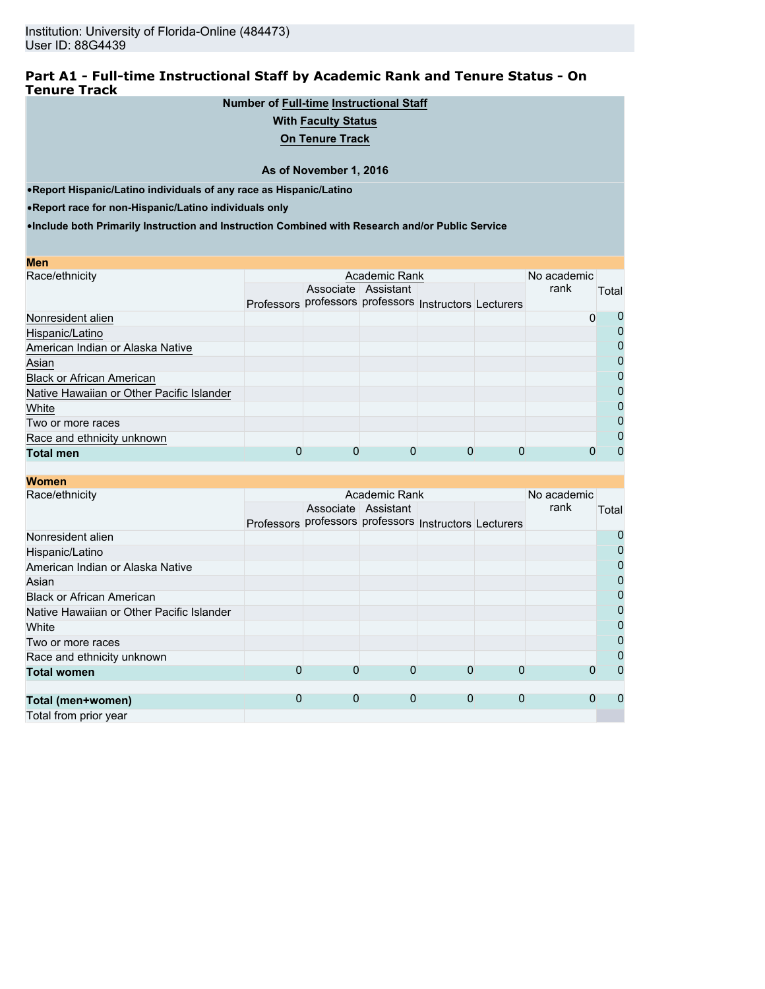## **Part A1 - Full-time Instructional Staff by Academic Rank and Tenure Status - On Tenure Track**

## **Number of Full-time Instructional Staff**

## **With Faculty Status**

**On Tenure Track**

### **As of November 1, 2016**

•**Report Hispanic/Latino individuals of any race as Hispanic/Latino**

•**Report race for non-Hispanic/Latino individuals only**

|  | No academic |                     |               |      |                                                             |
|--|-------------|---------------------|---------------|------|-------------------------------------------------------------|
|  |             |                     |               | rank | Total                                                       |
|  |             |                     |               |      |                                                             |
|  |             |                     |               |      | 0                                                           |
|  |             |                     |               |      | 0                                                           |
|  |             |                     |               |      | 0                                                           |
|  |             |                     |               |      | $\Omega$                                                    |
|  |             |                     |               |      | $\Omega$                                                    |
|  |             |                     |               |      | $\Omega$                                                    |
|  |             |                     |               |      | 0                                                           |
|  |             |                     |               |      | $\Omega$                                                    |
|  |             |                     |               |      | 0                                                           |
|  |             |                     |               |      | 0                                                           |
|  |             | Associate Assistant | Academic Rank | 0    | Professors professors professors Instructors Lecturers<br>0 |

| <b>Women</b>                              |   |                                                        |                     |             |              |      |                |
|-------------------------------------------|---|--------------------------------------------------------|---------------------|-------------|--------------|------|----------------|
| Race/ethnicity                            |   | No academic                                            |                     |             |              |      |                |
|                                           |   |                                                        | Associate Assistant |             |              | rank | Total          |
|                                           |   | Professors professors professors Instructors Lecturers |                     |             |              |      |                |
| Nonresident alien                         |   |                                                        |                     |             |              |      | 0              |
| Hispanic/Latino                           |   |                                                        |                     |             |              |      | $\mathbf 0$    |
| American Indian or Alaska Native          |   |                                                        |                     |             |              |      | $\mathbf 0$    |
| Asian                                     |   |                                                        |                     |             |              |      | $\overline{0}$ |
| <b>Black or African American</b>          |   |                                                        |                     |             |              |      | $\overline{0}$ |
| Native Hawaiian or Other Pacific Islander |   |                                                        |                     |             |              |      | $\overline{0}$ |
| White                                     |   |                                                        |                     |             |              |      | $\mathbf 0$    |
| Two or more races                         |   |                                                        |                     |             |              |      | $\overline{0}$ |
| Race and ethnicity unknown                |   |                                                        |                     |             |              |      | $\Omega$       |
| <b>Total women</b>                        | 0 | 0                                                      | 0                   | 0           | O            | O    | $\Omega$       |
|                                           |   |                                                        |                     |             |              |      |                |
| Total (men+women)                         | 0 | $\mathbf 0$                                            | $\mathbf 0$         | $\mathbf 0$ | $\mathbf{0}$ | 0    | 0              |
| Total from prior year                     |   |                                                        |                     |             |              |      |                |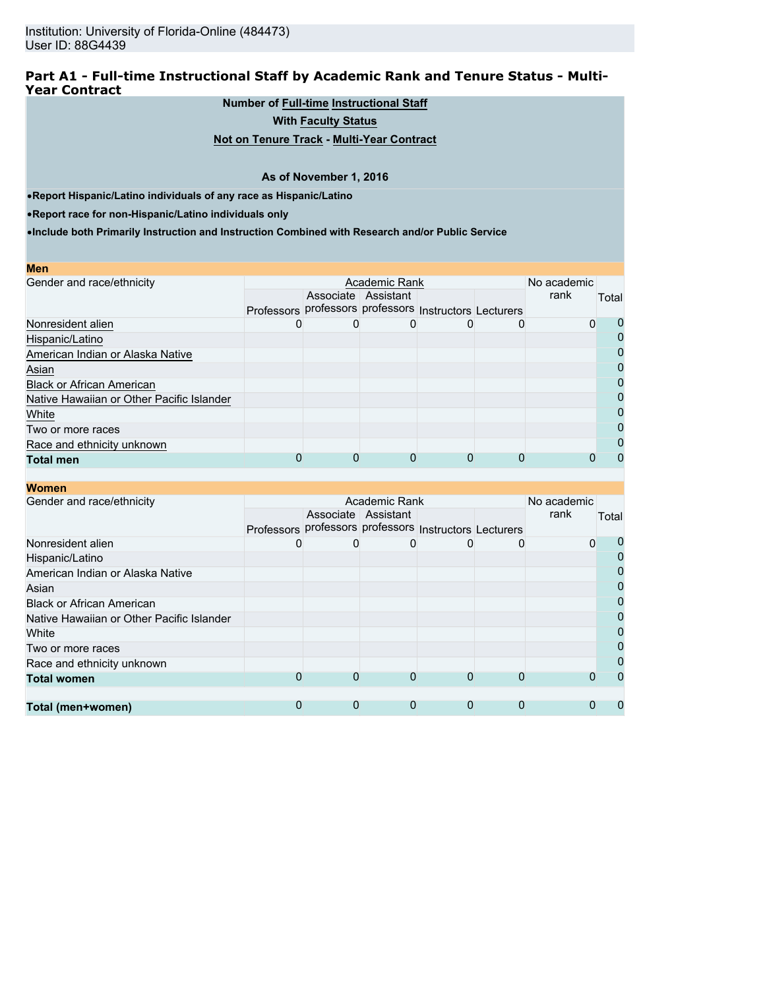## **Part A1 - Full-time Instructional Staff by Academic Rank and Tenure Status - Multi-Year Contract**

**Number of Full-time Instructional Staff**

**With Faculty Status**

**Not on Tenure Track - Multi-Year Contract**

### **As of November 1, 2016**

•**Report Hispanic/Latino individuals of any race as Hispanic/Latino**

•**Report race for non-Hispanic/Latino individuals only**

| <b>Men</b>                                |                                                        |             |                     |   |  |      |              |
|-------------------------------------------|--------------------------------------------------------|-------------|---------------------|---|--|------|--------------|
| Gender and race/ethnicity                 |                                                        | No academic |                     |   |  |      |              |
|                                           |                                                        |             | Associate Assistant |   |  | rank | Total        |
|                                           | Professors professors professors Instructors Lecturers |             |                     |   |  |      |              |
| Nonresident alien                         |                                                        |             |                     |   |  | 0    |              |
| Hispanic/Latino                           |                                                        |             |                     |   |  |      |              |
| American Indian or Alaska Native          |                                                        |             |                     |   |  |      |              |
| Asian                                     |                                                        |             |                     |   |  |      | O            |
| <b>Black or African American</b>          |                                                        |             |                     |   |  |      |              |
| Native Hawaiian or Other Pacific Islander |                                                        |             |                     |   |  |      | $\mathbf{I}$ |
| White                                     |                                                        |             |                     |   |  |      | O            |
| Two or more races                         |                                                        |             |                     |   |  |      |              |
| Race and ethnicity unknown                |                                                        |             |                     |   |  |      |              |
| <b>Total men</b>                          |                                                        | O           |                     | 0 |  |      |              |

| <u>WUITEN</u>                             |                                                        |                     |               |   |             |       |
|-------------------------------------------|--------------------------------------------------------|---------------------|---------------|---|-------------|-------|
| Gender and race/ethnicity                 |                                                        |                     | Academic Rank |   | No academic |       |
|                                           |                                                        | Associate Assistant |               |   | rank        | Total |
|                                           | Professors professors professors Instructors Lecturers |                     |               |   |             |       |
| Nonresident alien                         | O)                                                     |                     |               | 0 | 0           |       |
| Hispanic/Latino                           |                                                        |                     |               |   |             |       |
| American Indian or Alaska Native          |                                                        |                     |               |   |             |       |
| Asian                                     |                                                        |                     |               |   |             |       |
| <b>Black or African American</b>          |                                                        |                     |               |   |             |       |
| Native Hawaiian or Other Pacific Islander |                                                        |                     |               |   |             |       |
| White                                     |                                                        |                     |               |   |             |       |
| Two or more races                         |                                                        |                     |               |   |             |       |
| Race and ethnicity unknown                |                                                        |                     |               |   |             |       |
| <b>Total women</b>                        | $\mathbf{O}$                                           | 0                   | 0             | 0 |             |       |
|                                           |                                                        |                     |               |   |             |       |
| Total (men+women)                         | 0                                                      | 0                   | 0             | 0 |             |       |
|                                           |                                                        |                     |               |   |             |       |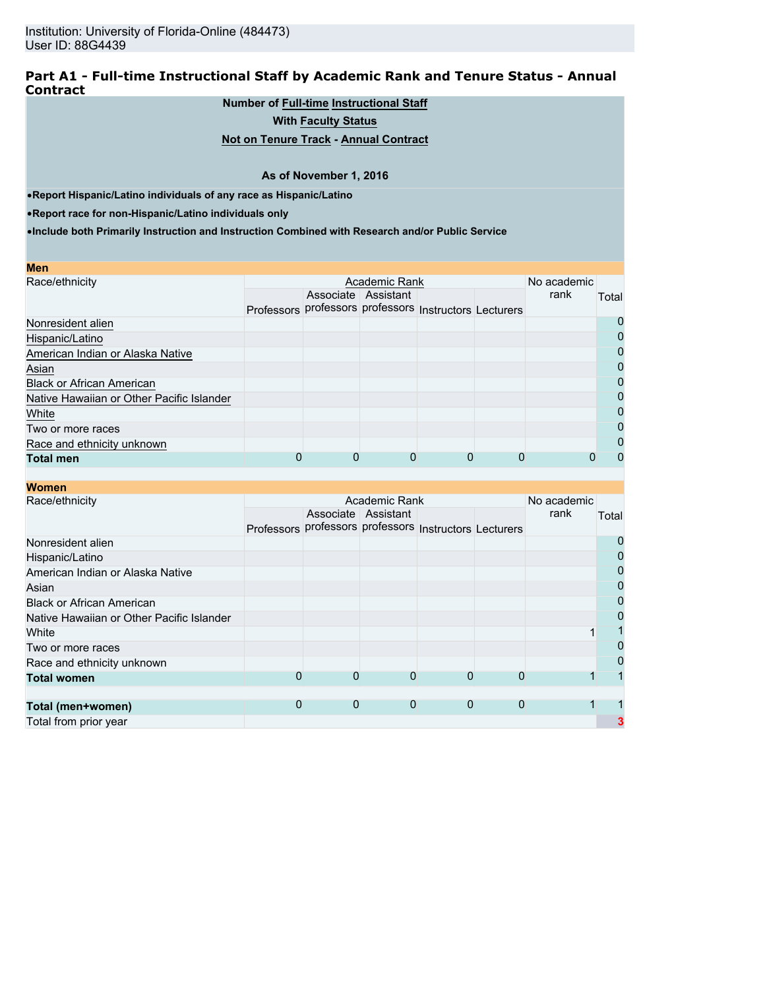### **Part A1 - Full-time Instructional Staff by Academic Rank and Tenure Status - Annual Contract**

## **Number of Full-time Instructional Staff**

**With Faculty Status**

## **Not on Tenure Track - Annual Contract**

### **As of November 1, 2016**

•**Report Hispanic/Latino individuals of any race as Hispanic/Latino**

•**Report race for non-Hispanic/Latino individuals only**

| Men                                       |            |                                             |  |      |       |
|-------------------------------------------|------------|---------------------------------------------|--|------|-------|
| Race/ethnicity                            |            | No academic                                 |  |      |       |
|                                           |            | Associate Assistant                         |  | rank | Total |
|                                           | Professors | professors professors Instructors Lecturers |  |      |       |
| Nonresident alien                         |            |                                             |  |      |       |
| Hispanic/Latino                           |            |                                             |  |      |       |
| American Indian or Alaska Native          |            |                                             |  |      | 0     |
| Asian                                     |            |                                             |  |      | 0     |
| <b>Black or African American</b>          |            |                                             |  |      | 0     |
| Native Hawaiian or Other Pacific Islander |            |                                             |  |      |       |
| White                                     |            |                                             |  |      | O     |
| Two or more races                         |            |                                             |  |      | 0     |
| Race and ethnicity unknown                |            |                                             |  |      | 0     |
| <b>Total men</b>                          |            |                                             |  |      |       |

| <b>Women</b>                              |   |              |                                                        |             |              |      |       |
|-------------------------------------------|---|--------------|--------------------------------------------------------|-------------|--------------|------|-------|
| Race/ethnicity                            |   | No academic  |                                                        |             |              |      |       |
|                                           |   |              | Associate Assistant                                    |             |              | rank | Total |
|                                           |   |              | Professors professors professors Instructors Lecturers |             |              |      |       |
| Nonresident alien                         |   |              |                                                        |             |              |      |       |
| Hispanic/Latino                           |   |              |                                                        |             |              |      | 0     |
| American Indian or Alaska Native          |   |              |                                                        |             |              |      |       |
| Asian                                     |   |              |                                                        |             |              |      | 0     |
| <b>Black or African American</b>          |   |              |                                                        |             |              |      | 0     |
| Native Hawaiian or Other Pacific Islander |   |              |                                                        |             |              |      |       |
| White                                     |   |              |                                                        |             |              |      |       |
| Two or more races                         |   |              |                                                        |             |              |      |       |
| Race and ethnicity unknown                |   |              |                                                        |             |              |      | 0     |
| <b>Total women</b>                        | 0 | 0            | $\Omega$                                               | 0           | $\Omega$     |      |       |
|                                           |   |              |                                                        |             |              |      |       |
| Total (men+women)                         | 0 | $\mathbf{0}$ | 0                                                      | $\mathbf 0$ | $\mathbf{0}$ |      |       |
| Total from prior year                     |   |              |                                                        |             |              |      |       |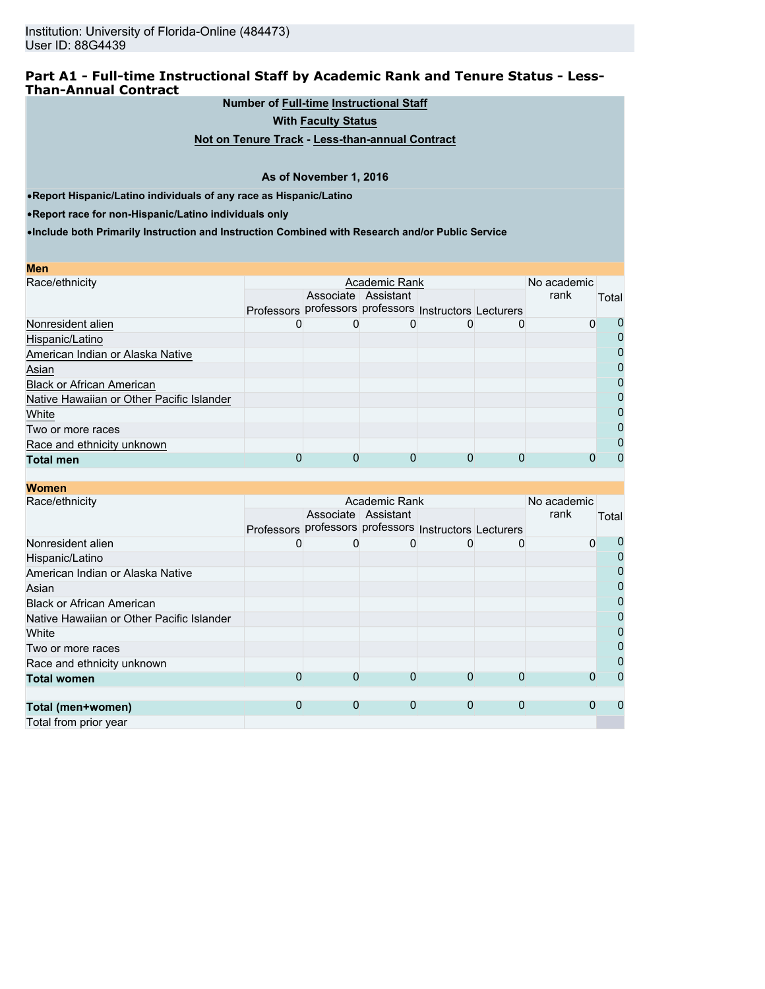## **Part A1 - Full-time Instructional Staff by Academic Rank and Tenure Status - Less-Than-Annual Contract**

**Number of Full-time Instructional Staff**

**With Faculty Status**

**Not on Tenure Track - Less-than-annual Contract**

#### **As of November 1, 2016**

•**Report Hispanic/Latino individuals of any race as Hispanic/Latino**

•**Report race for non-Hispanic/Latino individuals only**

| <b>Men</b>                                |                                                        |                     |              |  |          |          |
|-------------------------------------------|--------------------------------------------------------|---------------------|--------------|--|----------|----------|
| Race/ethnicity                            |                                                        | No academic         |              |  |          |          |
|                                           |                                                        | Associate Assistant |              |  | rank     | Total    |
|                                           | Professors professors professors Instructors Lecturers |                     |              |  |          |          |
| Nonresident alien                         | O                                                      |                     | $\mathbf{0}$ |  | $\Omega$ | 0        |
| Hispanic/Latino                           |                                                        |                     |              |  |          | $\Omega$ |
| American Indian or Alaska Native          |                                                        |                     |              |  |          | 0        |
| Asian                                     |                                                        |                     |              |  |          | $\Omega$ |
| <b>Black or African American</b>          |                                                        |                     |              |  |          | 0        |
| Native Hawaiian or Other Pacific Islander |                                                        |                     |              |  |          | $\Omega$ |
| White                                     |                                                        |                     |              |  |          | 0        |
| Two or more races                         |                                                        |                     |              |  |          | 0        |
| Race and ethnicity unknown                |                                                        |                     |              |  |          | 0        |
| <b>Total men</b>                          |                                                        | 0                   | 0            |  |          | 0        |

| <b>Women</b>                              |   |             |                                                        |             |   |      |          |
|-------------------------------------------|---|-------------|--------------------------------------------------------|-------------|---|------|----------|
| Race/ethnicity                            |   | No academic |                                                        |             |   |      |          |
|                                           |   |             | Associate Assistant                                    |             |   | rank | Total    |
|                                           |   |             | Professors professors professors Instructors Lecturers |             |   |      |          |
| Nonresident alien                         | 0 |             |                                                        |             |   | 0    | 0        |
| Hispanic/Latino                           |   |             |                                                        |             |   |      | $\Omega$ |
| American Indian or Alaska Native          |   |             |                                                        |             |   |      | 0        |
| Asian                                     |   |             |                                                        |             |   |      | 0        |
| <b>Black or African American</b>          |   |             |                                                        |             |   |      | 0        |
| Native Hawaiian or Other Pacific Islander |   |             |                                                        |             |   |      | 0        |
| White                                     |   |             |                                                        |             |   |      | 0        |
| Two or more races                         |   |             |                                                        |             |   |      | 0        |
| Race and ethnicity unknown                |   |             |                                                        |             |   |      | 0        |
| <b>Total women</b>                        | 0 | 0           | 0                                                      | 0           |   |      | Ω        |
|                                           |   |             |                                                        |             |   |      |          |
| Total (men+women)                         | 0 | 0           | $\mathbf 0$                                            | $\mathbf 0$ | 0 | 0    |          |
| Total from prior year                     |   |             |                                                        |             |   |      |          |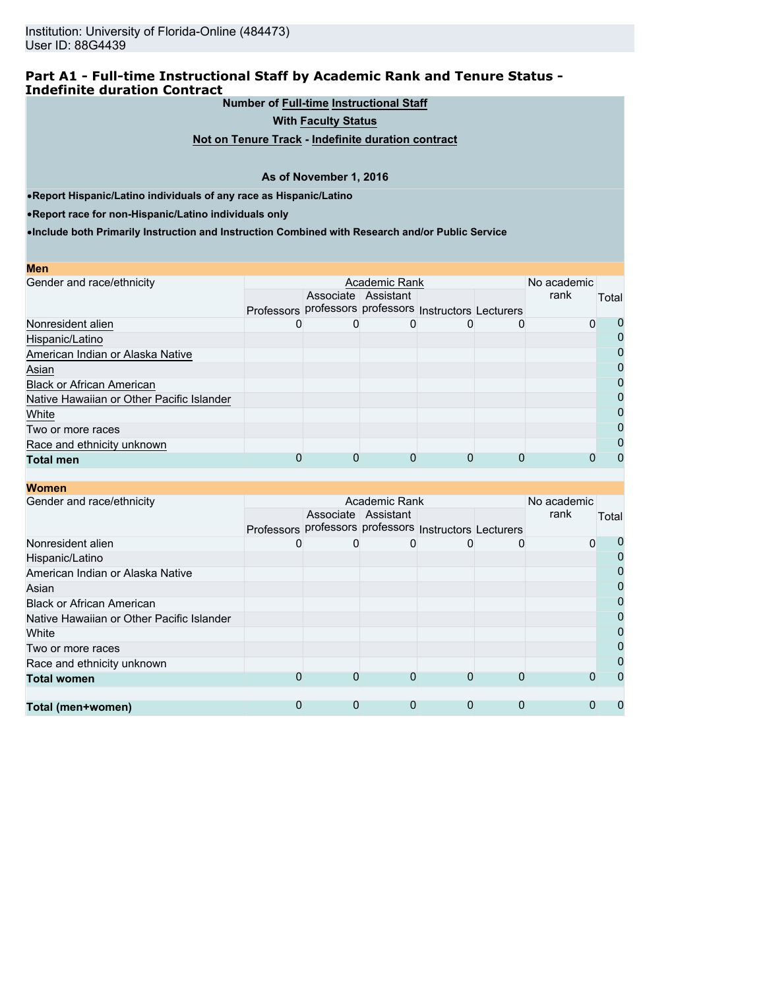## **Part A1 - Full-time Instructional Staff by Academic Rank and Tenure Status - Indefinite duration Contract**

**Number of Full-time Instructional Staff**

**With Faculty Status**

**Not on Tenure Track - Indefinite duration contract**

### **As of November 1, 2016**

•**Report Hispanic/Latino individuals of any race as Hispanic/Latino**

•**Report race for non-Hispanic/Latino individuals only**

**Women**

|  | No academic |                     |               |      |                                                             |
|--|-------------|---------------------|---------------|------|-------------------------------------------------------------|
|  |             |                     |               | rank | Total                                                       |
|  |             |                     |               |      |                                                             |
|  |             |                     |               |      | U                                                           |
|  |             |                     |               |      | $\Omega$                                                    |
|  |             |                     |               |      | $\Omega$                                                    |
|  |             |                     |               |      | 0                                                           |
|  |             |                     |               |      | 0                                                           |
|  |             |                     |               |      | 0                                                           |
|  |             |                     |               |      | 0                                                           |
|  |             |                     |               |      | $\Omega$                                                    |
|  |             |                     |               |      | 0                                                           |
|  | 0           |                     |               |      | $\Omega$                                                    |
|  |             | Associate Assistant | Academic Rank | 0    | Professors professors professors Instructors Lecturers<br>0 |

| шчинг                                     |                                                        |                     |   |   |   |      |                |
|-------------------------------------------|--------------------------------------------------------|---------------------|---|---|---|------|----------------|
| Gender and race/ethnicity                 |                                                        | No academic         |   |   |   |      |                |
|                                           |                                                        | Associate Assistant |   |   |   | rank | Total          |
|                                           | Professors professors professors Instructors Lecturers |                     |   |   |   |      |                |
| Nonresident alien                         | O)                                                     |                     |   | 0 |   | 0    | 0              |
| Hispanic/Latino                           |                                                        |                     |   |   |   |      | 0              |
| American Indian or Alaska Native          |                                                        |                     |   |   |   |      | $\mathbf 0$    |
| Asian                                     |                                                        |                     |   |   |   |      | $\mathbf 0$    |
| <b>Black or African American</b>          |                                                        |                     |   |   |   |      | $\overline{0}$ |
| Native Hawaiian or Other Pacific Islander |                                                        |                     |   |   |   |      | $\mathbf 0$    |
| White                                     |                                                        |                     |   |   |   |      | $\overline{0}$ |
| Two or more races                         |                                                        |                     |   |   |   |      | $\overline{0}$ |
| Race and ethnicity unknown                |                                                        |                     |   |   |   |      | 0              |
| <b>Total women</b>                        | 0                                                      | 0                   | 0 | 0 |   |      | $\Omega$       |
|                                           |                                                        |                     |   |   |   |      |                |
| Total (men+women)                         | 0                                                      | 0                   | 0 | 0 | 0 |      |                |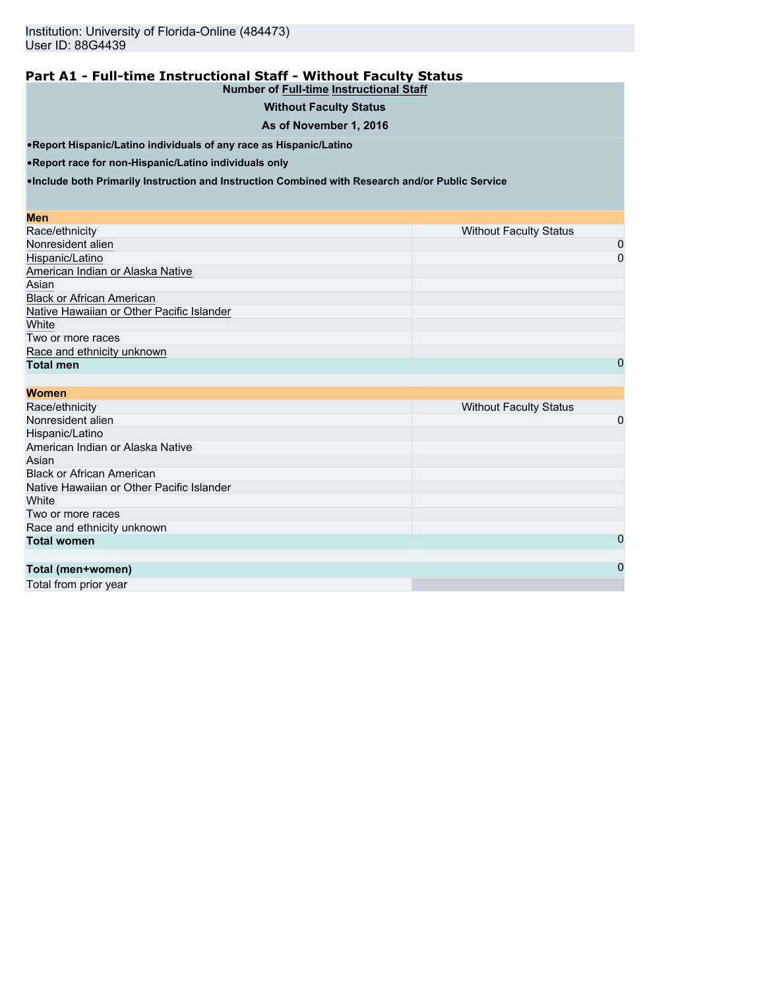#### **Part A1 - Full-time Instructional Staff - Without Faculty Status Number of Full-time Instructional Staff**

# **Without Faculty Status**

## **As of November 1, 2016**

•**Report Hispanic/Latino individuals of any race as Hispanic/Latino**

•**Report race for non-Hispanic/Latino individuals only**

•**Include both Primarily Instruction and Instruction Combined with Research and/or Public Service**

#### **Men**

| Race/ethnicity                            | <b>Without Faculty Status</b> |
|-------------------------------------------|-------------------------------|
| Nonresident alien                         | 0                             |
| Hispanic/Latino                           | 0                             |
| American Indian or Alaska Native          |                               |
| Asian                                     |                               |
| <b>Black or African American</b>          |                               |
| Native Hawaiian or Other Pacific Islander |                               |
| White                                     |                               |
| Two or more races                         |                               |
| Race and ethnicity unknown                |                               |
| <b>Total men</b>                          | 0                             |

| <b>Women</b>                              |                               |
|-------------------------------------------|-------------------------------|
| Race/ethnicity                            | <b>Without Faculty Status</b> |
| Nonresident alien                         | 0                             |
| Hispanic/Latino                           |                               |
| American Indian or Alaska Native          |                               |
| Asian                                     |                               |
| <b>Black or African American</b>          |                               |
| Native Hawaiian or Other Pacific Islander |                               |
| White                                     |                               |
| Two or more races                         |                               |
| Race and ethnicity unknown                |                               |
| <b>Total women</b>                        | 0                             |
|                                           |                               |
| Total (men+women)                         | $\mathbf 0$                   |
|                                           |                               |

Total from prior year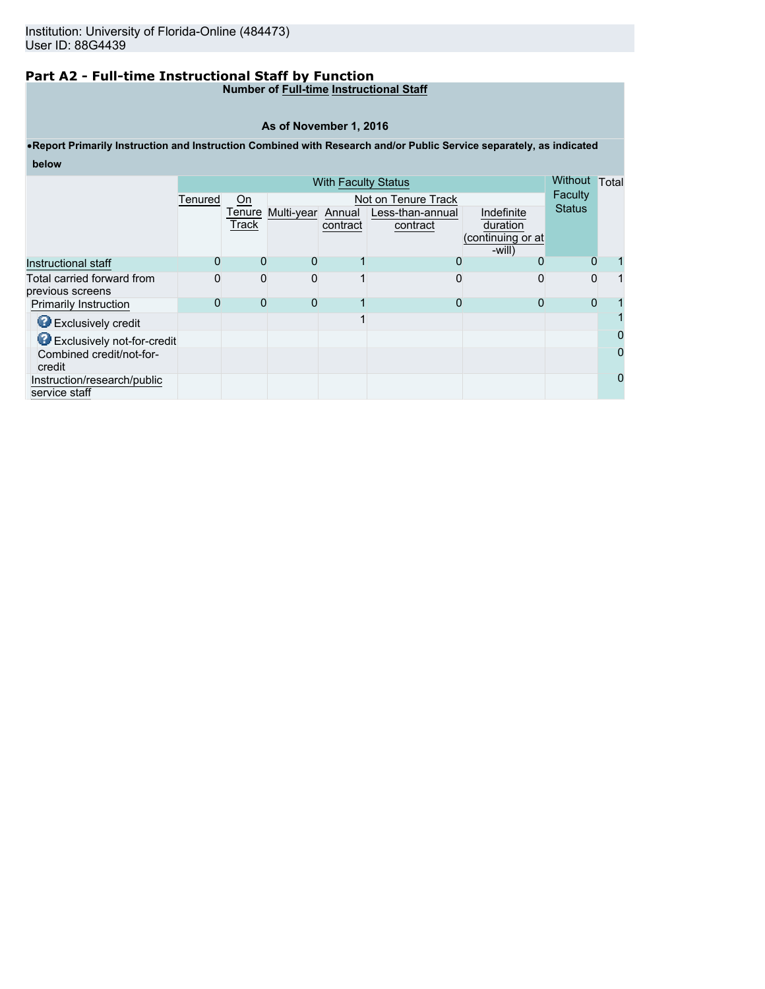# **Part A2 - Full-time Instructional Staff by Function**

## **Number of Full-time Instructional Staff**

#### **As of November 1, 2016**

## •**Report Primarily Instruction and Instruction Combined with Research and/or Public Service separately, as indicated below**

| <b>With Faculty Status</b>                     |         |          |                   |          |                     | Without Total                  |               |   |
|------------------------------------------------|---------|----------|-------------------|----------|---------------------|--------------------------------|---------------|---|
|                                                | Tenured | On       |                   |          | Not on Tenure Track |                                | Faculty       |   |
|                                                |         | Tenure   | Multi-year Annual |          | Less-than-annual    | Indefinite                     | <b>Status</b> |   |
|                                                |         | Track    |                   | contract | contract            | duration                       |               |   |
|                                                |         |          |                   |          |                     | (continuing or at<br>$-will$ ) |               |   |
| Instructional staff                            |         | $\Omega$ | 0                 |          |                     | 0                              | O             |   |
| Total carried forward from<br>previous screens |         | 0        | $\Omega$          |          |                     |                                | 0             |   |
| <b>Primarily Instruction</b>                   |         | 0        | 0                 |          |                     |                                | 0             |   |
| Exclusively credit                             |         |          |                   |          |                     |                                |               |   |
| <b>B</b> Exclusively not-for-credit            |         |          |                   |          |                     |                                |               |   |
| Combined credit/not-for-<br>credit             |         |          |                   |          |                     |                                |               |   |
| Instruction/research/public<br>service staff   |         |          |                   |          |                     |                                |               | 0 |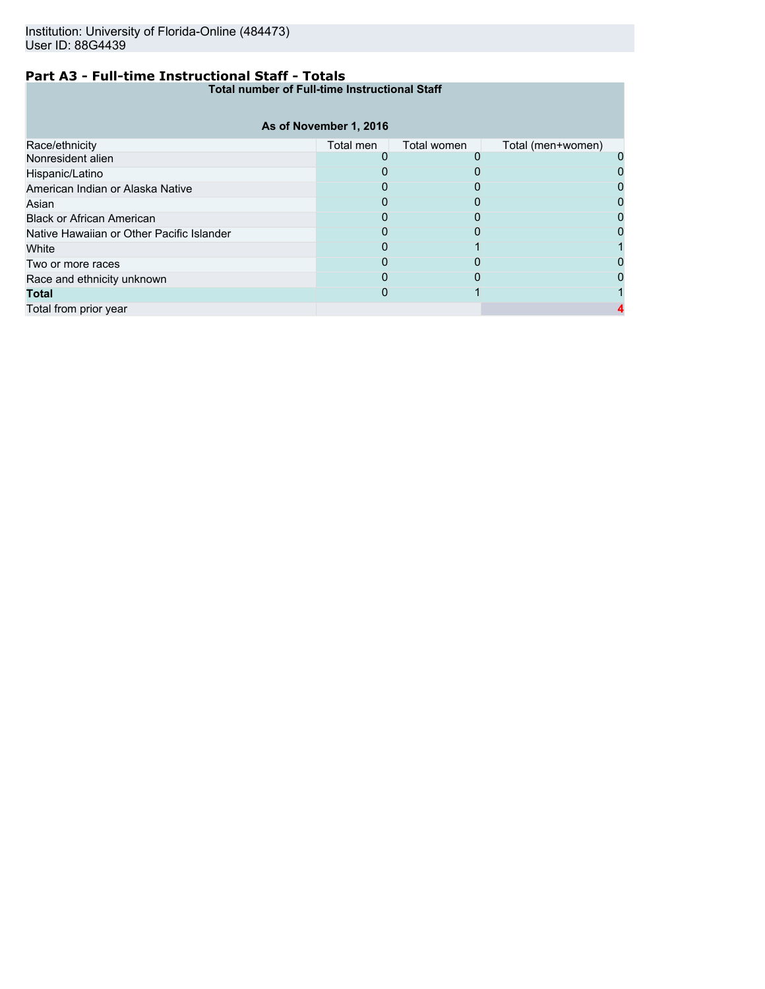## **Part A3 - Full-time Instructional Staff - Totals**

**Total number of Full-time Instructional Staff**

|                                           | As of November 1, 2016 |             |                   |  |
|-------------------------------------------|------------------------|-------------|-------------------|--|
| Race/ethnicity                            | Total men              | Total women | Total (men+women) |  |
| Nonresident alien                         |                        |             |                   |  |
| Hispanic/Latino                           |                        |             |                   |  |
| American Indian or Alaska Native          |                        |             |                   |  |
| Asian                                     |                        |             |                   |  |
| <b>Black or African American</b>          |                        |             |                   |  |
| Native Hawaiian or Other Pacific Islander |                        |             |                   |  |
| White                                     |                        |             |                   |  |
| Two or more races                         |                        |             |                   |  |
| Race and ethnicity unknown                |                        |             |                   |  |
| <b>Total</b>                              |                        |             |                   |  |
| Total from prior year                     |                        |             |                   |  |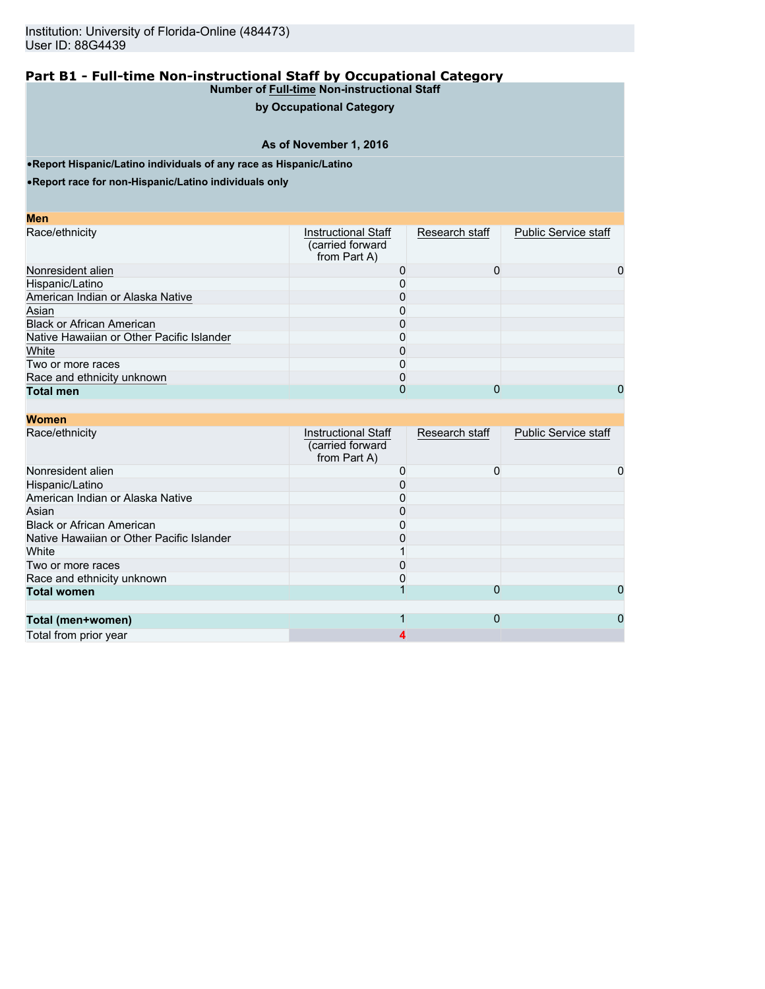## **by Occupational Category**

## **As of November 1, 2016**

•**Report Hispanic/Latino individuals of any race as Hispanic/Latino**

•**Report race for non-Hispanic/Latino individuals only**

| M<br>ο | I |
|--------|---|
|        |   |

| Race/ethnicity                            | <b>Instructional Staff</b><br>(carried forward<br>from Part A) | Research staff | <b>Public Service staff</b> |
|-------------------------------------------|----------------------------------------------------------------|----------------|-----------------------------|
| Nonresident alien                         |                                                                |                | 0                           |
| Hispanic/Latino                           |                                                                |                |                             |
| American Indian or Alaska Native          |                                                                |                |                             |
| Asian                                     |                                                                |                |                             |
| <b>Black or African American</b>          |                                                                |                |                             |
| Native Hawaiian or Other Pacific Islander |                                                                |                |                             |
| White                                     |                                                                |                |                             |
| Two or more races                         |                                                                |                |                             |
| Race and ethnicity unknown                |                                                                |                |                             |
| <b>Total men</b>                          |                                                                |                | 0                           |

| <b>Women</b>                              |                                                                |                |                             |   |
|-------------------------------------------|----------------------------------------------------------------|----------------|-----------------------------|---|
| Race/ethnicity                            | <b>Instructional Staff</b><br>(carried forward<br>from Part A) | Research staff | <b>Public Service staff</b> |   |
| Nonresident alien                         |                                                                |                |                             | 0 |
| Hispanic/Latino                           |                                                                |                |                             |   |
| American Indian or Alaska Native          |                                                                |                |                             |   |
| Asian                                     |                                                                |                |                             |   |
| <b>Black or African American</b>          |                                                                |                |                             |   |
| Native Hawaiian or Other Pacific Islander |                                                                |                |                             |   |
| White                                     |                                                                |                |                             |   |
| Two or more races                         |                                                                |                |                             |   |
| Race and ethnicity unknown                |                                                                |                |                             |   |
| <b>Total women</b>                        |                                                                | $\Omega$       |                             | 0 |
|                                           |                                                                |                |                             |   |
| Total (men+women)                         |                                                                | $\mathbf 0$    |                             |   |
| Total from prior year                     |                                                                |                |                             |   |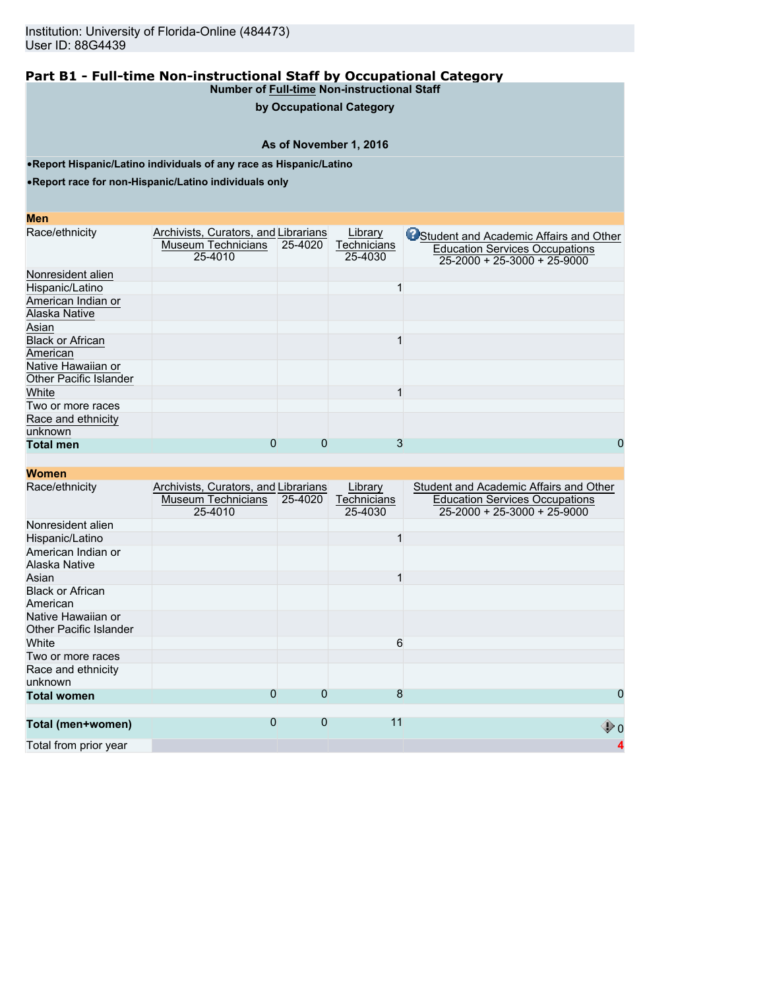## **by Occupational Category**

## **As of November 1, 2016**

•**Report Hispanic/Latino individuals of any race as Hispanic/Latino**

•**Report race for non-Hispanic/Latino individuals only**

#### **Men**

| Race/ethnicity                | Archivists, Curators, and Librarians |         | Library     | <b>C</b> Student and Academic Affairs and Other |
|-------------------------------|--------------------------------------|---------|-------------|-------------------------------------------------|
|                               | <b>Museum Technicians</b>            | 25-4020 | Technicians | <b>Education Services Occupations</b>           |
|                               | 25-4010                              |         | 25-4030     | $25-2000 + 25-3000 + 25-9000$                   |
| Nonresident alien             |                                      |         |             |                                                 |
| Hispanic/Latino               |                                      |         |             |                                                 |
| American Indian or            |                                      |         |             |                                                 |
| Alaska Native                 |                                      |         |             |                                                 |
| Asian                         |                                      |         |             |                                                 |
| <b>Black or African</b>       |                                      |         |             |                                                 |
| American                      |                                      |         |             |                                                 |
| Native Hawaiian or            |                                      |         |             |                                                 |
| <b>Other Pacific Islander</b> |                                      |         |             |                                                 |
| White                         |                                      |         |             |                                                 |
| Two or more races             |                                      |         |             |                                                 |
| Race and ethnicity            |                                      |         |             |                                                 |
| unknown                       |                                      |         |             |                                                 |
| <b>Total men</b>              | 0                                    | 0       | 3           | 0                                               |

| <b>Women</b>                                        |                                                                              |             |                                   |                                                                                                                        |
|-----------------------------------------------------|------------------------------------------------------------------------------|-------------|-----------------------------------|------------------------------------------------------------------------------------------------------------------------|
| Race/ethnicity                                      | Archivists, Curators, and Librarians<br><b>Museum Technicians</b><br>25-4010 | 25-4020     | Library<br>Technicians<br>25-4030 | Student and Academic Affairs and Other<br><b>Education Services Occupations</b><br>$25 - 2000 + 25 - 3000 + 25 - 9000$ |
| Nonresident alien                                   |                                                                              |             |                                   |                                                                                                                        |
| Hispanic/Latino                                     |                                                                              |             | 1                                 |                                                                                                                        |
| American Indian or<br>Alaska Native                 |                                                                              |             |                                   |                                                                                                                        |
| Asian                                               |                                                                              |             |                                   |                                                                                                                        |
| <b>Black or African</b><br>American                 |                                                                              |             |                                   |                                                                                                                        |
| Native Hawaiian or<br><b>Other Pacific Islander</b> |                                                                              |             |                                   |                                                                                                                        |
| White                                               |                                                                              |             | 6                                 |                                                                                                                        |
| Two or more races                                   |                                                                              |             |                                   |                                                                                                                        |
| Race and ethnicity<br>unknown                       |                                                                              |             |                                   |                                                                                                                        |
| <b>Total women</b>                                  | $\Omega$                                                                     | $\mathbf 0$ | 8                                 | 0                                                                                                                      |
| Total (men+women)                                   | $\Omega$                                                                     | $\mathbf 0$ | 11                                | $\mathbb{D}^0$                                                                                                         |
| Total from prior year                               |                                                                              |             |                                   |                                                                                                                        |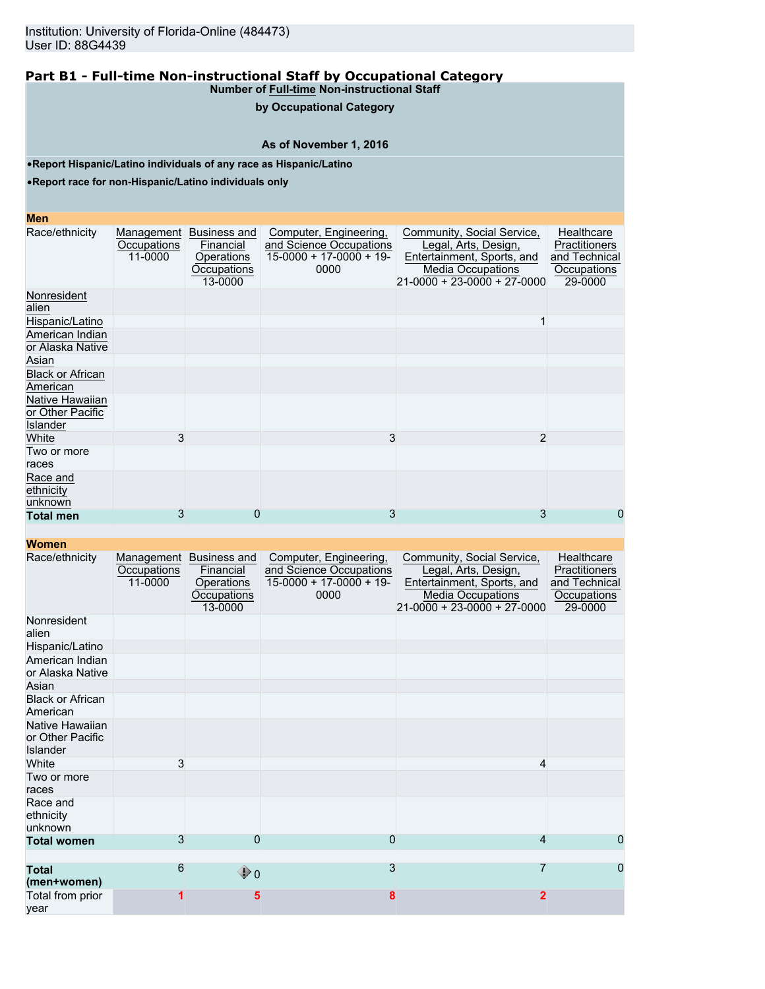## **by Occupational Category**

## **As of November 1, 2016**

•**Report Hispanic/Latino individuals of any race as Hispanic/Latino**

•**Report race for non-Hispanic/Latino individuals only**

#### **Men**

| Race/ethnicity                                         | Management<br>Occupations<br>11-0000 | Business and<br>Financial<br>Operations<br>Occupations<br>13-0000 | Computer, Engineering,<br>and Science Occupations<br>$15-0000 + 17-0000 + 19$<br>0000 | Community, Social Service,<br>Legal, Arts, Design,<br>Entertainment, Sports, and<br><b>Media Occupations</b><br>$21-0000 + 23-0000 + 27-0000$ | Healthcare<br>Practitioners<br>and Technical<br>Occupations<br>29-0000 |
|--------------------------------------------------------|--------------------------------------|-------------------------------------------------------------------|---------------------------------------------------------------------------------------|-----------------------------------------------------------------------------------------------------------------------------------------------|------------------------------------------------------------------------|
| Nonresident<br>alien                                   |                                      |                                                                   |                                                                                       |                                                                                                                                               |                                                                        |
| Hispanic/Latino                                        |                                      |                                                                   |                                                                                       |                                                                                                                                               |                                                                        |
| American Indian<br>or Alaska Native                    |                                      |                                                                   |                                                                                       |                                                                                                                                               |                                                                        |
| Asian                                                  |                                      |                                                                   |                                                                                       |                                                                                                                                               |                                                                        |
| <b>Black or African</b><br>American                    |                                      |                                                                   |                                                                                       |                                                                                                                                               |                                                                        |
| Native Hawaiian<br>or Other Pacific<br><b>Islander</b> |                                      |                                                                   |                                                                                       |                                                                                                                                               |                                                                        |
| White                                                  | 3                                    |                                                                   | 3                                                                                     | $\overline{2}$                                                                                                                                |                                                                        |
| Two or more<br>races                                   |                                      |                                                                   |                                                                                       |                                                                                                                                               |                                                                        |
| Race and<br>ethnicity<br>unknown                       |                                      |                                                                   |                                                                                       |                                                                                                                                               |                                                                        |
| <b>Total men</b>                                       | 3                                    | 0                                                                 | 3                                                                                     | 3                                                                                                                                             | 0                                                                      |

| Race/ethnicity                                         | Management<br>Occupations<br>11-0000 | Business and<br>Financial<br>Operations<br>Occupations<br>13-0000 | Computer, Engineering,<br>and Science Occupations<br>$15-0000 + 17-0000 + 19$<br>0000 | Community, Social Service,<br>Legal, Arts, Design,<br>Entertainment, Sports, and<br><b>Media Occupations</b><br>$21 - 0000 + 23 - 0000 + 27 - 0000$ | Healthcare<br>Practitioners<br>and Technical<br>Occupations<br>29-0000 |
|--------------------------------------------------------|--------------------------------------|-------------------------------------------------------------------|---------------------------------------------------------------------------------------|-----------------------------------------------------------------------------------------------------------------------------------------------------|------------------------------------------------------------------------|
| Nonresident<br>alien                                   |                                      |                                                                   |                                                                                       |                                                                                                                                                     |                                                                        |
| Hispanic/Latino                                        |                                      |                                                                   |                                                                                       |                                                                                                                                                     |                                                                        |
| American Indian<br>or Alaska Native                    |                                      |                                                                   |                                                                                       |                                                                                                                                                     |                                                                        |
| Asian                                                  |                                      |                                                                   |                                                                                       |                                                                                                                                                     |                                                                        |
| <b>Black or African</b><br>American                    |                                      |                                                                   |                                                                                       |                                                                                                                                                     |                                                                        |
| Native Hawaiian<br>or Other Pacific<br><b>Islander</b> |                                      |                                                                   |                                                                                       |                                                                                                                                                     |                                                                        |
| White                                                  | 3                                    |                                                                   |                                                                                       | 4                                                                                                                                                   |                                                                        |
| Two or more<br>races                                   |                                      |                                                                   |                                                                                       |                                                                                                                                                     |                                                                        |
| Race and<br>ethnicity<br>unknown                       |                                      |                                                                   |                                                                                       |                                                                                                                                                     |                                                                        |
| <b>Total women</b>                                     | 3                                    | 0                                                                 | 0                                                                                     | 4                                                                                                                                                   | 0                                                                      |
| <b>Total</b><br>(men+women)                            | 6                                    | $\mathbf{\Phi}$ o                                                 | 3                                                                                     | 7                                                                                                                                                   | 0                                                                      |
| Total from prior<br>vear                               |                                      | 5                                                                 | 8                                                                                     | $\overline{2}$                                                                                                                                      |                                                                        |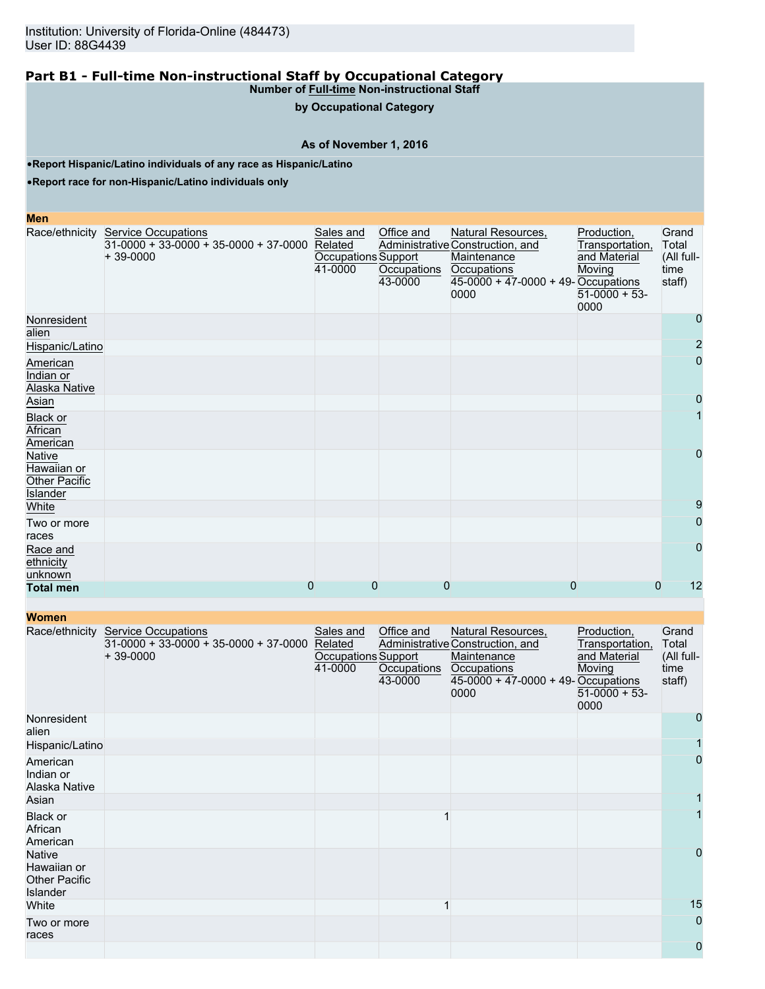**by Occupational Category**

**As of November 1, 2016**

•**Report Hispanic/Latino individuals of any race as Hispanic/Latino**

•**Report race for non-Hispanic/Latino individuals only**

#### **Men**

|                                                           | Race/ethnicity Service Occupations<br>$31-0000 + 33-0000 + 35-0000 + 37-0000$ Related<br>$+39-0000$ | Sales and<br>Occupations Support<br>41-0000 | Office and<br>Occupations<br>43-0000 | Natural Resources,<br>Administrative Construction, and<br>Maintenance<br>Occupations<br>$45-0000 + 47-0000 + 49$ -Occupations<br>0000 | Production,<br>Transportation,<br>and Material<br>Moving<br>$51-0000 + 53$<br>0000 | Grand<br>Total<br>(All full-<br>time<br>staff) |
|-----------------------------------------------------------|-----------------------------------------------------------------------------------------------------|---------------------------------------------|--------------------------------------|---------------------------------------------------------------------------------------------------------------------------------------|------------------------------------------------------------------------------------|------------------------------------------------|
| Nonresident<br>alien                                      |                                                                                                     |                                             |                                      |                                                                                                                                       |                                                                                    | $\mathbf 0$                                    |
| Hispanic/Latino                                           |                                                                                                     |                                             |                                      |                                                                                                                                       |                                                                                    | $\overline{2}$                                 |
| American<br>Indian or<br>Alaska Native                    |                                                                                                     |                                             |                                      |                                                                                                                                       |                                                                                    | $\overline{0}$                                 |
| Asian                                                     |                                                                                                     |                                             |                                      |                                                                                                                                       |                                                                                    | 0                                              |
| <b>Black or</b><br>African<br>American                    |                                                                                                     |                                             |                                      |                                                                                                                                       |                                                                                    |                                                |
| Native<br>Hawaiian or<br><b>Other Pacific</b><br>Islander |                                                                                                     |                                             |                                      |                                                                                                                                       |                                                                                    | $\mathbf 0$                                    |
| White                                                     |                                                                                                     |                                             |                                      |                                                                                                                                       |                                                                                    | 9                                              |
| Two or more<br>races                                      |                                                                                                     |                                             |                                      |                                                                                                                                       |                                                                                    | $\mathbf 0$                                    |
| Race and<br>ethnicity<br>unknown                          |                                                                                                     |                                             |                                      |                                                                                                                                       |                                                                                    | $\Omega$                                       |
| <b>Total men</b>                                          | $\overline{0}$                                                                                      | $\overline{0}$                              | $\overline{0}$                       | 0                                                                                                                                     | $\mathbf{0}$                                                                       | 12                                             |

| <b>Women</b>                                                     |                                                                                     |                                                        |                                      |                                                                                                                                     |                                                                                    |                                                |
|------------------------------------------------------------------|-------------------------------------------------------------------------------------|--------------------------------------------------------|--------------------------------------|-------------------------------------------------------------------------------------------------------------------------------------|------------------------------------------------------------------------------------|------------------------------------------------|
| Race/ethnicity                                                   | <b>Service Occupations</b><br>$31-0000 + 33-0000 + 35-0000 + 37-0000$<br>$+39-0000$ | Sales and<br>Related<br>Occupations Support<br>41-0000 | Office and<br>Occupations<br>43-0000 | Natural Resources,<br>Administrative Construction, and<br>Maintenance<br>Occupations<br>45-0000 + 47-0000 + 49- Occupations<br>0000 | Production,<br>Transportation,<br>and Material<br>Moving<br>$51-0000 + 53$<br>0000 | Grand<br>Total<br>(All full-<br>time<br>staff) |
| Nonresident<br>alien                                             |                                                                                     |                                                        |                                      |                                                                                                                                     |                                                                                    | 0                                              |
| Hispanic/Latino                                                  |                                                                                     |                                                        |                                      |                                                                                                                                     |                                                                                    |                                                |
| American<br>Indian or<br>Alaska Native                           |                                                                                     |                                                        |                                      |                                                                                                                                     |                                                                                    | $\overline{0}$                                 |
| Asian                                                            |                                                                                     |                                                        |                                      |                                                                                                                                     |                                                                                    |                                                |
| Black or<br>African<br>American                                  |                                                                                     |                                                        |                                      |                                                                                                                                     |                                                                                    |                                                |
| <b>Native</b><br>Hawaiian or<br><b>Other Pacific</b><br>Islander |                                                                                     |                                                        |                                      |                                                                                                                                     |                                                                                    | 0                                              |
| White                                                            |                                                                                     |                                                        |                                      |                                                                                                                                     |                                                                                    | 15                                             |
| Two or more<br>races                                             |                                                                                     |                                                        |                                      |                                                                                                                                     |                                                                                    | 0                                              |
|                                                                  |                                                                                     |                                                        |                                      |                                                                                                                                     |                                                                                    | 0                                              |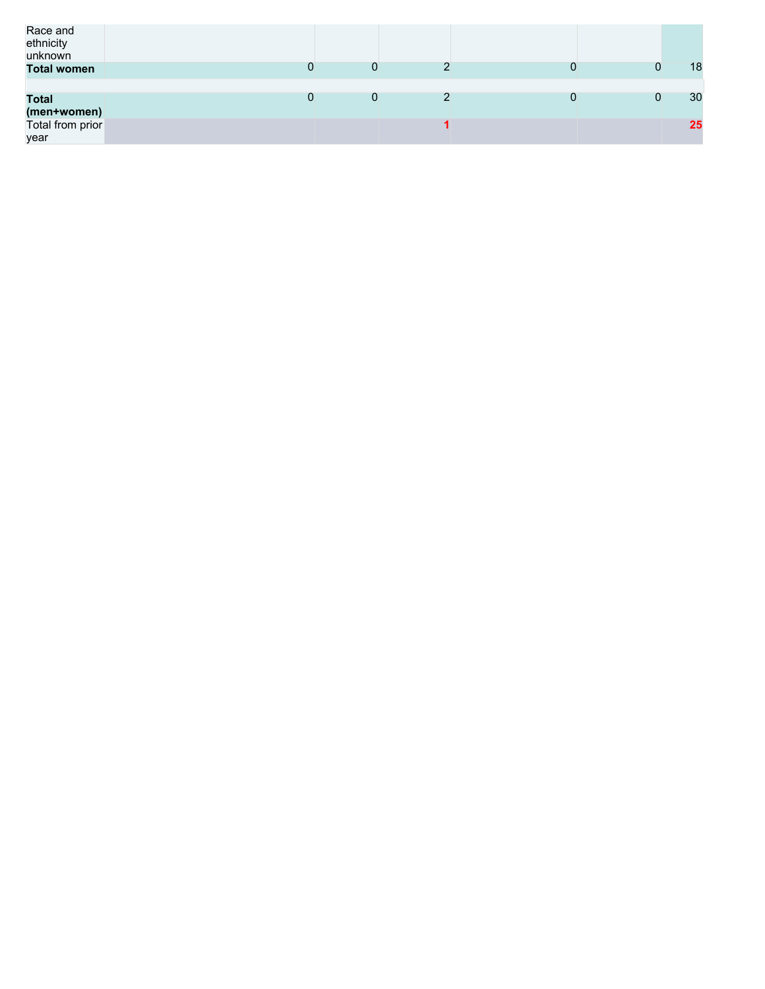| Race and<br>ethnicity<br>unknown |   |   |   |    |
|----------------------------------|---|---|---|----|
| <b>Total women</b>               |   | 0 |   | 18 |
| <b>Total</b><br>(men+women)      | 0 | 0 | 0 | 30 |
| Total from prior<br>year         |   |   |   | 25 |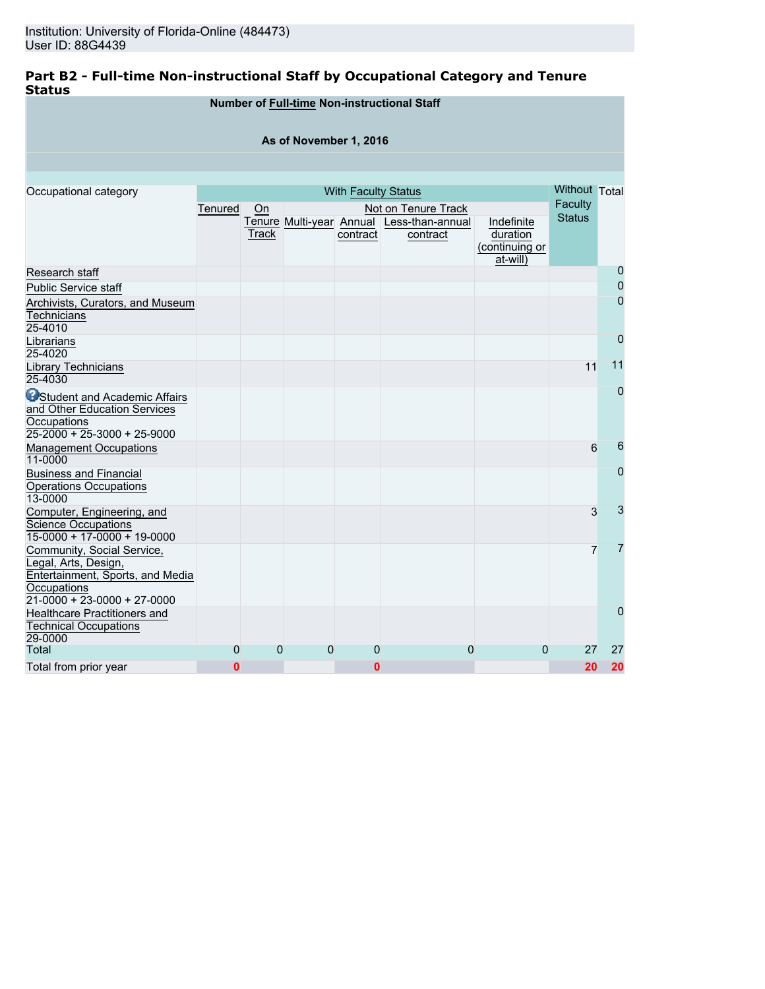## **Part B2 - Full-time Non-instructional Staff by Occupational Category and Tenure Status**

|                                                                                                                                                     |         |             |                          |                            | Number of Full-time Non-instructional Staff         |                                                      |                          |             |
|-----------------------------------------------------------------------------------------------------------------------------------------------------|---------|-------------|--------------------------|----------------------------|-----------------------------------------------------|------------------------------------------------------|--------------------------|-------------|
|                                                                                                                                                     |         |             | As of November 1, 2016   |                            |                                                     |                                                      |                          |             |
|                                                                                                                                                     |         |             |                          |                            |                                                     |                                                      |                          |             |
| Occupational category                                                                                                                               |         |             |                          | <b>With Faculty Status</b> |                                                     |                                                      | Without Total            |             |
|                                                                                                                                                     | Tenured | On<br>Track | Tenure Multi-year Annual | contract                   | Not on Tenure Track<br>Less-than-annual<br>contract | Indefinite<br>duration<br>(continuing or<br>at-will) | Faculty<br><b>Status</b> |             |
| Research staff                                                                                                                                      |         |             |                          |                            |                                                     |                                                      |                          | 0           |
| <b>Public Service staff</b>                                                                                                                         |         |             |                          |                            |                                                     |                                                      |                          | 0           |
| Archivists, Curators, and Museum<br>Technicians<br>25-4010                                                                                          |         |             |                          |                            |                                                     |                                                      |                          | 0           |
| Librarians<br>25-4020                                                                                                                               |         |             |                          |                            |                                                     |                                                      |                          | $\mathbf 0$ |
| Library Technicians<br>25-4030                                                                                                                      |         |             |                          |                            |                                                     |                                                      | 11                       | 11          |
| <b>O</b> Student and Academic Affairs<br>and Other Education Services<br>Occupations<br>$25-2000 + 25-3000 + 25-9000$                               |         |             |                          |                            |                                                     |                                                      |                          | 0           |
| <b>Management Occupations</b><br>11-0000                                                                                                            |         |             |                          |                            |                                                     |                                                      | 6                        | 6           |
| <b>Business and Financial</b><br><b>Operations Occupations</b><br>13-0000                                                                           |         |             |                          |                            |                                                     |                                                      |                          | 0           |
| Computer, Engineering, and<br><b>Science Occupations</b><br>$15-0000 + 17-0000 + 19-0000$                                                           |         |             |                          |                            |                                                     |                                                      | 3                        | 3           |
| Community, Social Service,<br>Legal, Arts, Design,<br>Entertainment, Sports, and Media<br><b>Occupations</b><br>$21 - 0000 + 23 - 0000 + 27 - 0000$ |         |             |                          |                            |                                                     |                                                      | 7                        | 7           |
| Healthcare Practitioners and<br><b>Technical Occupations</b><br>29-0000                                                                             |         |             |                          |                            |                                                     |                                                      |                          | 0           |
| Total                                                                                                                                               | 0       | $\mathbf 0$ | 0                        | 0                          | 0                                                   | 0                                                    | 27                       | 27          |
| Total from prior year                                                                                                                               | 0       |             |                          | 0                          |                                                     |                                                      | 20                       | 20          |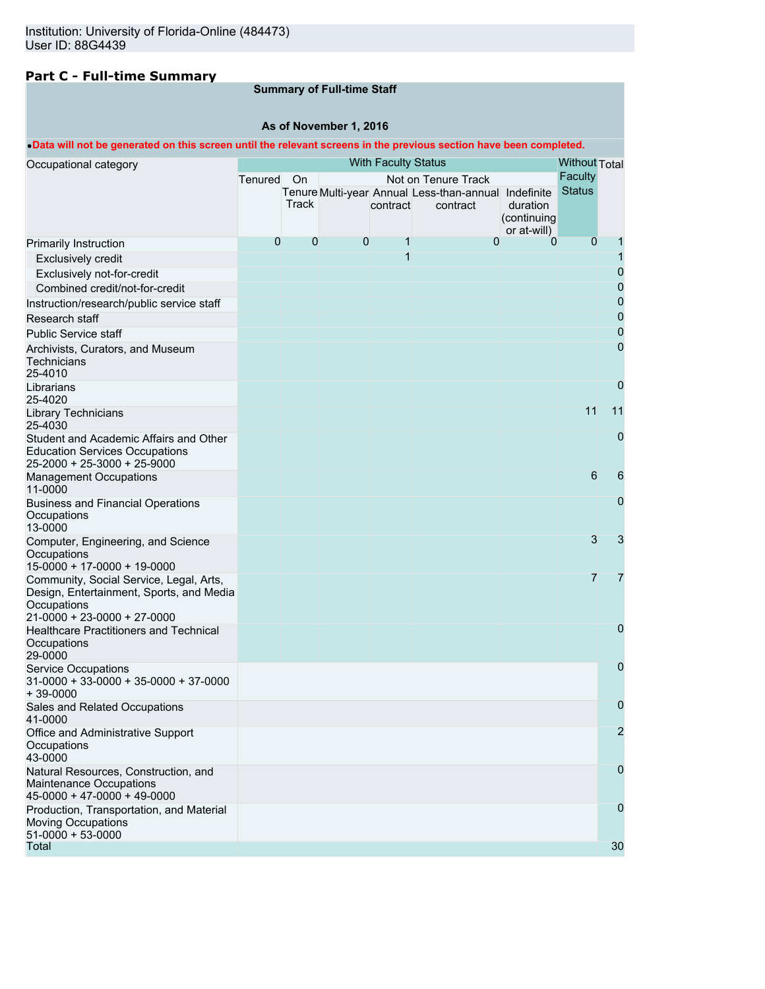## **Part C - Full-time Summary**

## **Summary of Full-time Staff**

## **As of November 1, 2016**

## •**Data will not be generated on this screen until the relevant screens in the previous section have been completed.**

| Occupational category                                                                                                             |              |             |   |          | <b>With Faculty Status</b>                           |                         |                                        |                |
|-----------------------------------------------------------------------------------------------------------------------------------|--------------|-------------|---|----------|------------------------------------------------------|-------------------------|----------------------------------------|----------------|
|                                                                                                                                   | Tenured On   |             |   |          | Not on Tenure Track                                  |                         | <b>Without Total</b><br><b>Faculty</b> |                |
|                                                                                                                                   |              |             |   |          | Tenure Multi-year Annual Less-than-annual Indefinite |                         | <b>Status</b>                          |                |
|                                                                                                                                   |              | Track       |   | contract | contract                                             | duration                |                                        |                |
|                                                                                                                                   |              |             |   |          |                                                      | (continuing             |                                        |                |
|                                                                                                                                   | $\mathbf{0}$ | $\mathbf 0$ | 0 | 1        | $\mathbf 0$                                          | or at-will)<br>$\Omega$ | $\mathbf 0$                            |                |
| Primarily Instruction                                                                                                             |              |             |   | 1        |                                                      |                         |                                        | 1              |
| <b>Exclusively credit</b>                                                                                                         |              |             |   |          |                                                      |                         |                                        | 0              |
| Exclusively not-for-credit                                                                                                        |              |             |   |          |                                                      |                         |                                        | 0              |
| Combined credit/not-for-credit                                                                                                    |              |             |   |          |                                                      |                         |                                        | 0              |
| Instruction/research/public service staff                                                                                         |              |             |   |          |                                                      |                         |                                        |                |
| Research staff                                                                                                                    |              |             |   |          |                                                      |                         |                                        | 0              |
| <b>Public Service staff</b>                                                                                                       |              |             |   |          |                                                      |                         |                                        | 0              |
| Archivists, Curators, and Museum<br>Technicians<br>25-4010                                                                        |              |             |   |          |                                                      |                         |                                        | 0              |
| Librarians<br>25-4020                                                                                                             |              |             |   |          |                                                      |                         |                                        | 0              |
| Library Technicians<br>25-4030                                                                                                    |              |             |   |          |                                                      |                         | 11                                     | 11             |
| Student and Academic Affairs and Other<br><b>Education Services Occupations</b><br>25-2000 + 25-3000 + 25-9000                    |              |             |   |          |                                                      |                         |                                        | 0              |
| <b>Management Occupations</b><br>11-0000                                                                                          |              |             |   |          |                                                      |                         | 6                                      | 6              |
| <b>Business and Financial Operations</b><br>Occupations<br>13-0000                                                                |              |             |   |          |                                                      |                         |                                        | 0              |
| Computer, Engineering, and Science<br>Occupations<br>$15-0000 + 17-0000 + 19-0000$                                                |              |             |   |          |                                                      |                         | 3                                      | 3              |
| Community, Social Service, Legal, Arts,<br>Design, Entertainment, Sports, and Media<br>Occupations<br>21-0000 + 23-0000 + 27-0000 |              |             |   |          |                                                      |                         | $\overline{7}$                         | 7              |
| Healthcare Practitioners and Technical<br>Occupations<br>29-0000                                                                  |              |             |   |          |                                                      |                         |                                        | 0              |
| <b>Service Occupations</b><br>$31-0000 + 33-0000 + 35-0000 + 37-0000$<br>$+39-0000$                                               |              |             |   |          |                                                      |                         |                                        | 0              |
| Sales and Related Occupations<br>41-0000                                                                                          |              |             |   |          |                                                      |                         |                                        | 0              |
| Office and Administrative Support<br>Occupations<br>43-0000                                                                       |              |             |   |          |                                                      |                         |                                        | $\overline{2}$ |
| Natural Resources, Construction, and<br>Maintenance Occupations<br>45-0000 + 47-0000 + 49-0000                                    |              |             |   |          |                                                      |                         |                                        | 0              |
| Production, Transportation, and Material<br><b>Moving Occupations</b><br>$51-0000 + 53-0000$                                      |              |             |   |          |                                                      |                         |                                        | 0              |
| Total                                                                                                                             |              |             |   |          |                                                      |                         |                                        | 30             |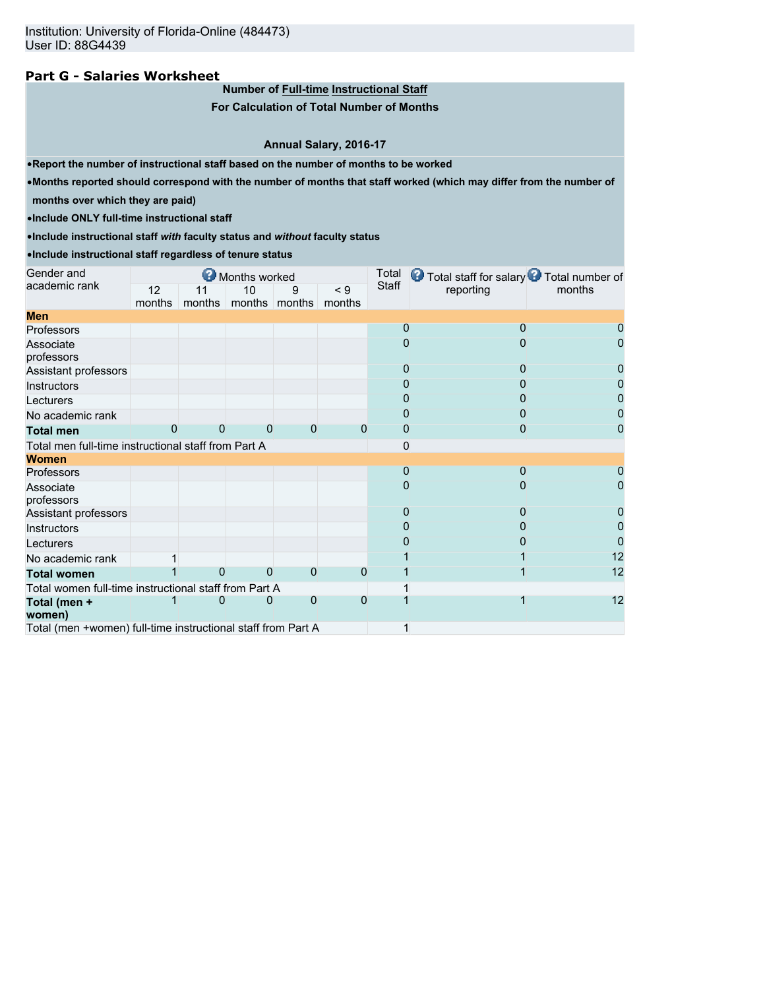## **Part G - Salaries Worksheet**

**Number of Full-time Instructional Staff**

**For Calculation of Total Number of Months**

**Annual Salary, 2016-17**

•**Report the number of instructional staff based on the number of months to be worked**

•**Months reported should correspond with the number of months that staff worked (which may differ from the number of**

**months over which they are paid)**

•**Include ONLY full-time instructional staff**

•**Include instructional staff** *with* **faculty status and** *without* **faculty status**

•**Include instructional staff regardless of tenure status**

| Gender and                                                   |        |          | Months worked  |          |          | Total        | <b>O</b> Total staff for salary <b>O</b> Total number of |        |
|--------------------------------------------------------------|--------|----------|----------------|----------|----------|--------------|----------------------------------------------------------|--------|
| academic rank                                                | 12     | 11       | 10             | 9        | $\leq 9$ | Staff        | reporting                                                | months |
|                                                              | months | months   | months months  |          | months   |              |                                                          |        |
| <b>Men</b>                                                   |        |          |                |          |          |              |                                                          |        |
| Professors                                                   |        |          |                |          |          | 0            | n                                                        |        |
| Associate<br>professors                                      |        |          |                |          |          | 0            |                                                          |        |
| Assistant professors                                         |        |          |                |          |          | $\Omega$     |                                                          |        |
| Instructors                                                  |        |          |                |          |          |              |                                                          |        |
| Lecturers                                                    |        |          |                |          |          |              |                                                          |        |
| No academic rank                                             |        |          |                |          |          |              |                                                          |        |
| <b>Total men</b>                                             | C      | 0        | $\overline{0}$ | 0        | $\Omega$ | 0            | 0                                                        |        |
| Total men full-time instructional staff from Part A          |        |          |                |          |          | $\Omega$     |                                                          |        |
| <b>Women</b>                                                 |        |          |                |          |          |              |                                                          |        |
| Professors                                                   |        |          |                |          |          | 0            | O                                                        |        |
| Associate<br>professors                                      |        |          |                |          |          |              |                                                          |        |
| Assistant professors                                         |        |          |                |          |          | $\mathbf{0}$ | 0                                                        |        |
| Instructors                                                  |        |          |                |          |          |              |                                                          |        |
| Lecturers                                                    |        |          |                |          |          |              |                                                          |        |
| No academic rank                                             |        |          |                |          |          |              |                                                          | 12     |
| <b>Total women</b>                                           |        | $\Omega$ | 0              | $\Omega$ | 0        |              |                                                          | 12     |
| Total women full-time instructional staff from Part A        |        |          |                |          |          |              |                                                          |        |
| Total (men +                                                 |        | 0        | 0              | 0        | 0        |              |                                                          | 12     |
| women)                                                       |        |          |                |          |          |              |                                                          |        |
| Total (men +women) full-time instructional staff from Part A |        |          |                |          |          | $\mathbf{1}$ |                                                          |        |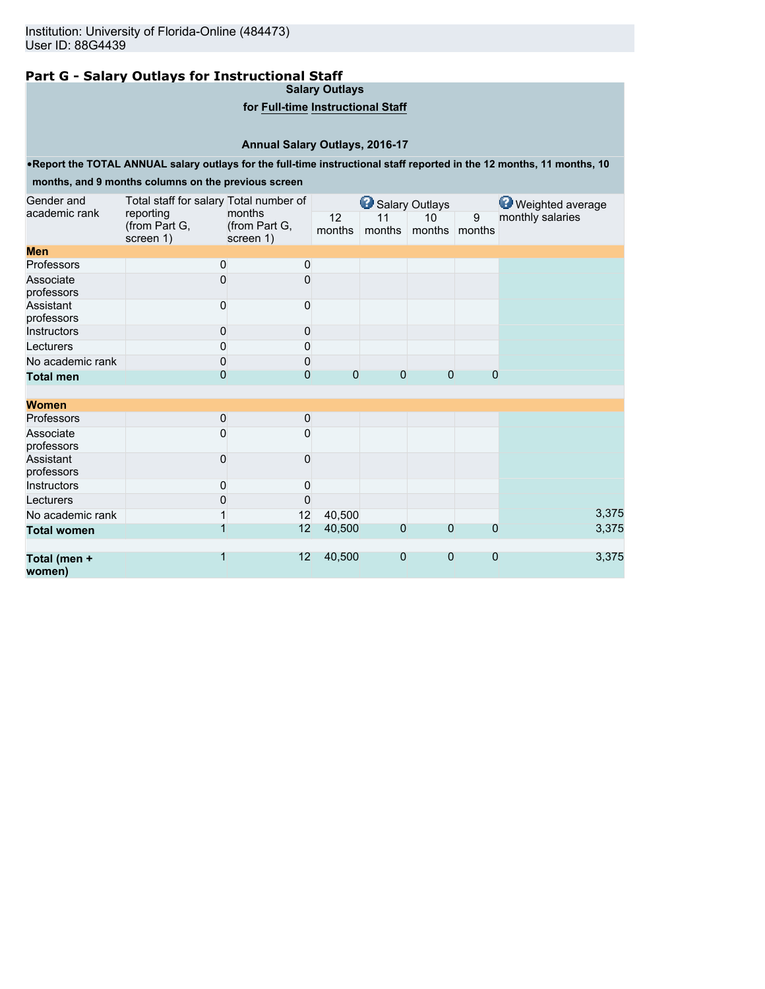## **Part G - Salary Outlays for Instructional Staff**

**Salary Outlays**

## **for Full-time Instructional Staff**

## **Annual Salary Outlays, 2016-17**

•**Report the TOTAL ANNUAL salary outlays for the full-time instructional staff reported in the 12 months, 11 months, 10**

### **months, and 9 months columns on the previous screen**

| Gender and              | Total staff for salary Total number of  |                                      |              | Salary Outlays |                     |                | <b>Weighted average</b> |
|-------------------------|-----------------------------------------|--------------------------------------|--------------|----------------|---------------------|----------------|-------------------------|
| academic rank           | reporting<br>(from Part G,<br>screen 1) | months<br>(from Part G,<br>screen 1) | 12<br>months | 11<br>months   | 10<br>months months | 9              | monthly salaries        |
| <b>Men</b>              |                                         |                                      |              |                |                     |                |                         |
| Professors              | 0                                       | 0                                    |              |                |                     |                |                         |
| Associate<br>professors | $\Omega$                                | 0                                    |              |                |                     |                |                         |
| Assistant<br>professors | 0                                       | 0                                    |              |                |                     |                |                         |
| Instructors             | $\mathbf 0$                             | 0                                    |              |                |                     |                |                         |
| Lecturers               | 0                                       | 0                                    |              |                |                     |                |                         |
| No academic rank        | $\mathbf 0$                             | 0                                    |              |                |                     |                |                         |
| <b>Total men</b>        | $\overline{0}$                          | $\overline{0}$                       | 0            | $\Omega$       | $\Omega$            | $\overline{0}$ |                         |
|                         |                                         |                                      |              |                |                     |                |                         |
| <b>Women</b>            |                                         |                                      |              |                |                     |                |                         |
| Professors              | $\mathbf 0$                             | 0                                    |              |                |                     |                |                         |
| Associate<br>professors | 0                                       | 0                                    |              |                |                     |                |                         |
| Assistant<br>professors | 0                                       | 0                                    |              |                |                     |                |                         |
| Instructors             | 0                                       | 0                                    |              |                |                     |                |                         |
| Lecturers               | 0                                       | 0                                    |              |                |                     |                |                         |
| No academic rank        |                                         | 12                                   | 40,500       |                |                     |                | 3,375                   |
| <b>Total women</b>      |                                         | 12                                   | 40,500       | $\overline{0}$ | $\Omega$            | $\overline{0}$ | 3,375                   |
| Total (men +<br>women)  |                                         | 12                                   | 40,500       | $\Omega$       | $\Omega$            | $\overline{0}$ | 3,375                   |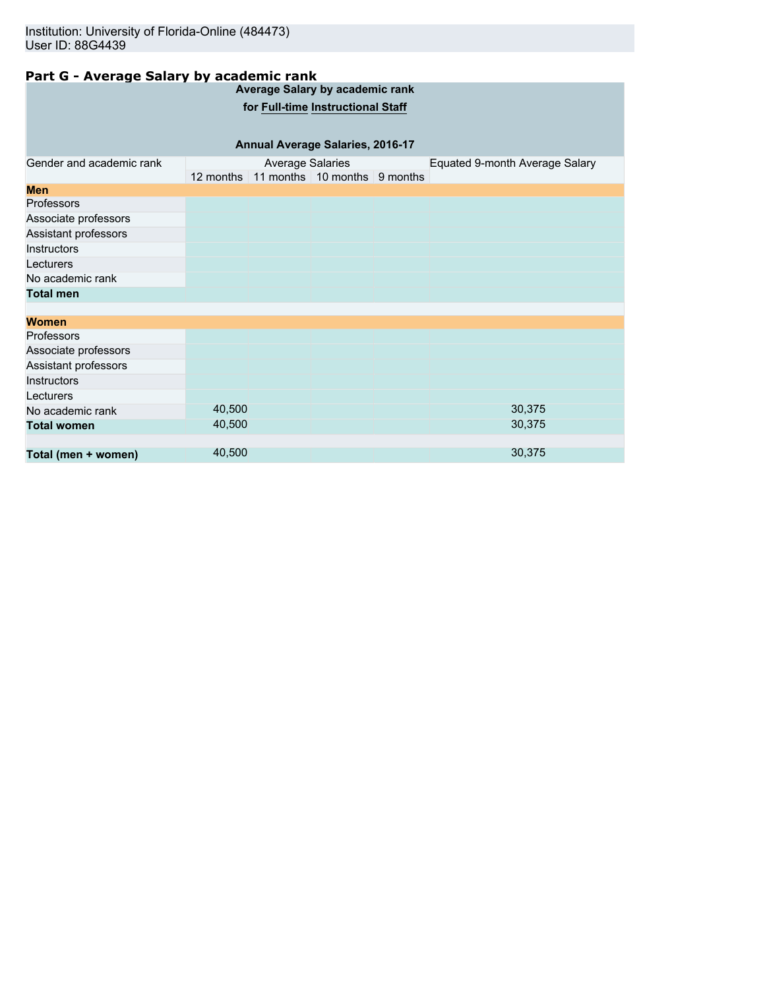## **Part G - Average Salary by academic rank**

| <b>Average Salary by academic rank</b> |        |                         |                                        |  |                                |  |  |
|----------------------------------------|--------|-------------------------|----------------------------------------|--|--------------------------------|--|--|
| for Full-time Instructional Staff      |        |                         |                                        |  |                                |  |  |
|                                        |        |                         |                                        |  |                                |  |  |
| Annual Average Salaries, 2016-17       |        |                         |                                        |  |                                |  |  |
| Gender and academic rank               |        | <b>Average Salaries</b> |                                        |  | Equated 9-month Average Salary |  |  |
|                                        |        |                         | 12 months 11 months 10 months 9 months |  |                                |  |  |
| <b>Men</b>                             |        |                         |                                        |  |                                |  |  |
| <b>Professors</b>                      |        |                         |                                        |  |                                |  |  |
| Associate professors                   |        |                         |                                        |  |                                |  |  |
| Assistant professors                   |        |                         |                                        |  |                                |  |  |
| Instructors                            |        |                         |                                        |  |                                |  |  |
| Lecturers                              |        |                         |                                        |  |                                |  |  |
| No academic rank                       |        |                         |                                        |  |                                |  |  |
| <b>Total men</b>                       |        |                         |                                        |  |                                |  |  |
|                                        |        |                         |                                        |  |                                |  |  |
| Women                                  |        |                         |                                        |  |                                |  |  |
| Professors                             |        |                         |                                        |  |                                |  |  |
| Associate professors                   |        |                         |                                        |  |                                |  |  |
| Assistant professors                   |        |                         |                                        |  |                                |  |  |
| Instructors                            |        |                         |                                        |  |                                |  |  |
| Lecturers                              |        |                         |                                        |  |                                |  |  |
| No academic rank                       | 40,500 |                         |                                        |  | 30,375                         |  |  |
| <b>Total women</b>                     | 40,500 |                         |                                        |  | 30,375                         |  |  |
|                                        |        |                         |                                        |  |                                |  |  |
| Total (men + women)                    | 40,500 |                         |                                        |  | 30,375                         |  |  |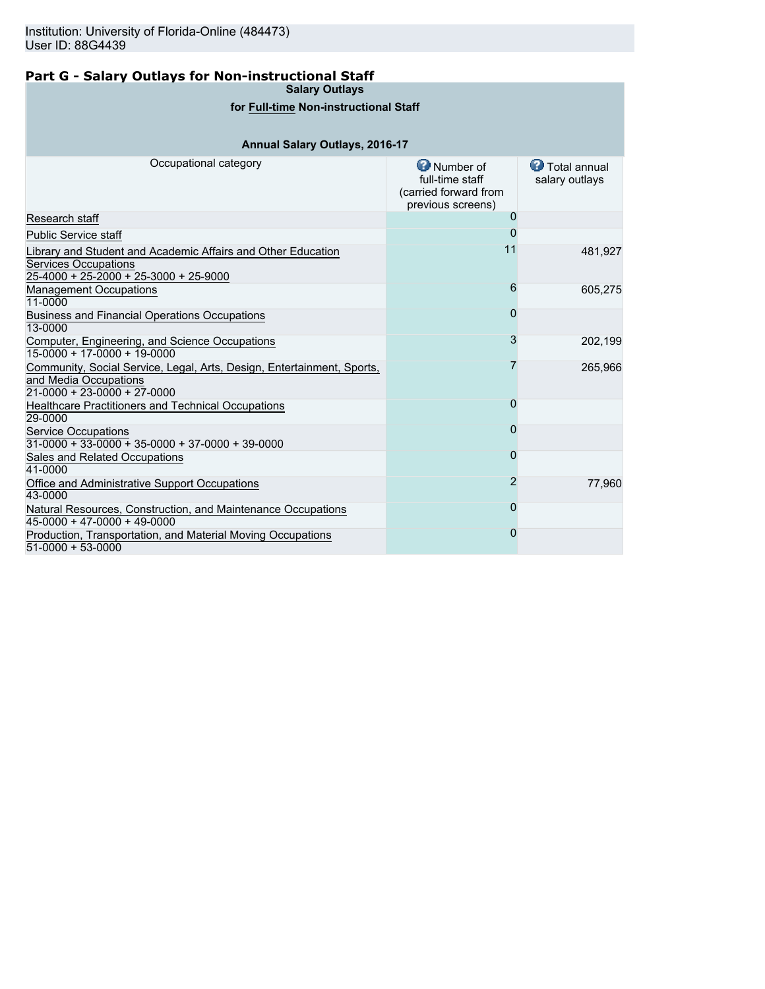## **Part G - Salary Outlays for Non-instructional Staff**

**Salary Outlays**

## **for Full-time Non-instructional Staff**

## **Annual Salary Outlays, 2016-17**

| Occupational category                                                                                                                  | Number of<br>full-time staff<br>(carried forward from<br>previous screens) | Total annual<br>salary outlays |
|----------------------------------------------------------------------------------------------------------------------------------------|----------------------------------------------------------------------------|--------------------------------|
| Research staff                                                                                                                         | $\mathbf{O}$                                                               |                                |
| <b>Public Service staff</b>                                                                                                            |                                                                            |                                |
| Library and Student and Academic Affairs and Other Education<br>Services Occupations<br>$25-4000 + 25-2000 + 25-3000 + 25-9000$        | 11                                                                         | 481,927                        |
| <b>Management Occupations</b><br>11-0000                                                                                               | 6                                                                          | 605,275                        |
| <b>Business and Financial Operations Occupations</b><br>13-0000                                                                        | O                                                                          |                                |
| Computer, Engineering, and Science Occupations<br>15-0000 + 17-0000 + 19-0000                                                          | 3                                                                          | 202,199                        |
| Community, Social Service, Legal, Arts, Design, Entertainment, Sports,<br>and Media Occupations<br>$21 - 0000 + 23 - 0000 + 27 - 0000$ |                                                                            | 265,966                        |
| <b>Healthcare Practitioners and Technical Occupations</b><br>29-0000                                                                   | 0                                                                          |                                |
| <b>Service Occupations</b><br>$31-0000 + 33-0000 + 35-0000 + 37-0000 + 39-0000$                                                        | 0                                                                          |                                |
| Sales and Related Occupations<br>41-0000                                                                                               | O                                                                          |                                |
| Office and Administrative Support Occupations<br>43-0000                                                                               | 2                                                                          | 77,960                         |
| Natural Resources, Construction, and Maintenance Occupations<br>$45-0000 + 47-0000 + 49-0000$                                          | O                                                                          |                                |
| Production, Transportation, and Material Moving Occupations<br>$51-0000 + 53-0000$                                                     | 0                                                                          |                                |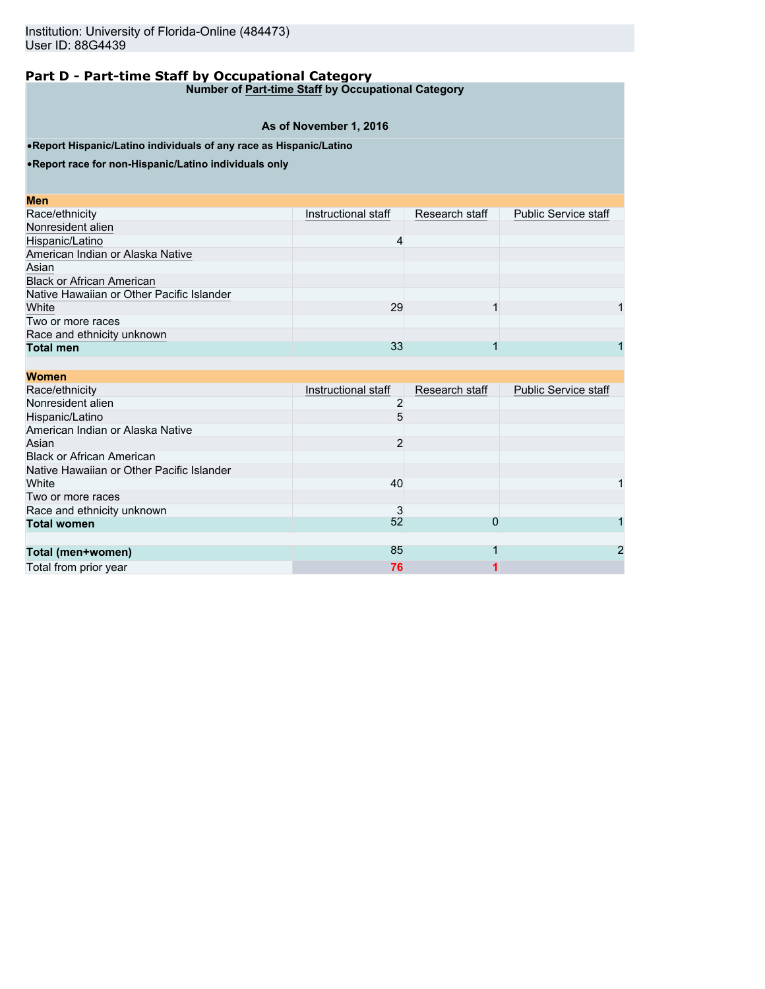**Number of Part-time Staff by Occupational Category**

## **As of November 1, 2016**

•**Report Hispanic/Latino individuals of any race as Hispanic/Latino**

•**Report race for non-Hispanic/Latino individuals only**

| Instructional staff | Research staff | <b>Public Service staff</b> |
|---------------------|----------------|-----------------------------|
|                     |                |                             |
| Δ                   |                |                             |
|                     |                |                             |
|                     |                |                             |
|                     |                |                             |
|                     |                |                             |
| 29                  |                |                             |
|                     |                |                             |
|                     |                |                             |
| 33                  |                |                             |
|                     |                |                             |

| <b>Women</b>                              |                     |                |                             |
|-------------------------------------------|---------------------|----------------|-----------------------------|
| Race/ethnicity                            | Instructional staff | Research staff | <b>Public Service staff</b> |
| Nonresident alien                         |                     |                |                             |
| Hispanic/Latino                           |                     |                |                             |
| American Indian or Alaska Native          |                     |                |                             |
| Asian                                     | 2                   |                |                             |
| <b>Black or African American</b>          |                     |                |                             |
| Native Hawaiian or Other Pacific Islander |                     |                |                             |
| White                                     | 40                  |                |                             |
| Two or more races                         |                     |                |                             |
| Race and ethnicity unknown                | 3                   |                |                             |
| <b>Total women</b>                        | 52                  | 0              |                             |
|                                           |                     |                |                             |
| Total (men+women)                         | 85                  |                | 2                           |
| Total from prior year                     | 76                  |                |                             |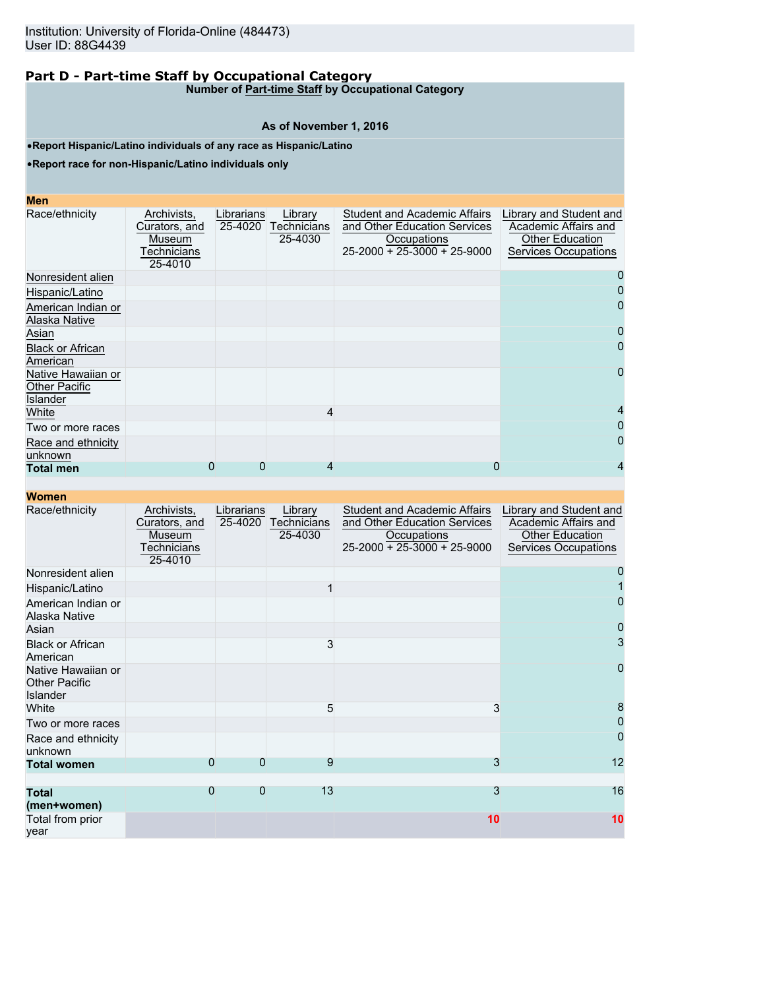**Number of Part-time Staff by Occupational Category**

#### **As of November 1, 2016**

•**Report Hispanic/Latino individuals of any race as Hispanic/Latino**

•**Report race for non-Hispanic/Latino individuals only**

| <b>Contract Contract Contract Contract Contract Contract Contract Contract Contract Contract Contract Contract Co</b><br>$\mathcal{L}^{\text{max}}_{\text{max}}$ and $\mathcal{L}^{\text{max}}_{\text{max}}$ and $\mathcal{L}^{\text{max}}_{\text{max}}$<br>$\mathcal{L}^{\text{max}}_{\text{max}}$ and $\mathcal{L}^{\text{max}}_{\text{max}}$ and $\mathcal{L}^{\text{max}}_{\text{max}}$ and $\mathcal{L}^{\text{max}}_{\text{max}}$ | <b>STATE OF STATE OF STATE OF STATE OF STATE OF STATE OF STATE OF STATE OF STATE OF STATE OF STATE OF STATE OF S</b> | <b>Contract Contract Contract Contract Contract Contract Contract Contract Contract Contract Contract Contract Co</b> |
|-----------------------------------------------------------------------------------------------------------------------------------------------------------------------------------------------------------------------------------------------------------------------------------------------------------------------------------------------------------------------------------------------------------------------------------------|----------------------------------------------------------------------------------------------------------------------|-----------------------------------------------------------------------------------------------------------------------|
| <b>CONTRACTOR</b>                                                                                                                                                                                                                                                                                                                                                                                                                       |                                                                                                                      | and the state of the state of the state of the state of the state of the state of the state of the state of th        |

| Race/ethnicity                                         | Archivists,<br>Curators, and<br>Museum<br>Technicians<br>25-4010 | Librarians<br>25-4020 | Library<br>Technicians<br>25-4030 | <b>Student and Academic Affairs</b><br>and Other Education Services<br>Occupations<br>$25 - 2000 + 25 - 3000 + 25 - 9000$ | Library and Student and<br>Academic Affairs and<br>Other Education<br><b>Services Occupations</b> |
|--------------------------------------------------------|------------------------------------------------------------------|-----------------------|-----------------------------------|---------------------------------------------------------------------------------------------------------------------------|---------------------------------------------------------------------------------------------------|
| Nonresident alien                                      |                                                                  |                       |                                   |                                                                                                                           |                                                                                                   |
| Hispanic/Latino                                        |                                                                  |                       |                                   |                                                                                                                           |                                                                                                   |
| American Indian or<br>Alaska Native                    |                                                                  |                       |                                   |                                                                                                                           | O                                                                                                 |
| Asian                                                  |                                                                  |                       |                                   |                                                                                                                           | O                                                                                                 |
| <b>Black or African</b><br>American                    |                                                                  |                       |                                   |                                                                                                                           | 0                                                                                                 |
| Native Hawaiian or<br><b>Other Pacific</b><br>Islander |                                                                  |                       |                                   |                                                                                                                           |                                                                                                   |
| White                                                  |                                                                  |                       | 4                                 |                                                                                                                           |                                                                                                   |
| Two or more races                                      |                                                                  |                       |                                   |                                                                                                                           | $\mathbf{I}$                                                                                      |
| Race and ethnicity<br>unknown                          |                                                                  |                       |                                   |                                                                                                                           |                                                                                                   |
| <b>Total men</b>                                       | 0                                                                | 0                     | 4                                 | 0                                                                                                                         |                                                                                                   |

| Race/ethnicity                                                | Archivists,<br>Curators, and<br>Museum<br>Technicians<br>25-4010 | Librarians<br>25-4020 | Library<br>Technicians<br>25-4030 | <b>Student and Academic Affairs</b><br>and Other Education Services<br>Occupations<br>$25-2000 + 25-3000 + 25-9000$ | Library and Student and<br>Academic Affairs and<br><b>Other Education</b><br><b>Services Occupations</b> |
|---------------------------------------------------------------|------------------------------------------------------------------|-----------------------|-----------------------------------|---------------------------------------------------------------------------------------------------------------------|----------------------------------------------------------------------------------------------------------|
| Nonresident alien                                             |                                                                  |                       |                                   |                                                                                                                     |                                                                                                          |
| Hispanic/Latino                                               |                                                                  |                       |                                   |                                                                                                                     |                                                                                                          |
| American Indian or<br>Alaska Native                           |                                                                  |                       |                                   |                                                                                                                     | 0                                                                                                        |
| Asian                                                         |                                                                  |                       |                                   |                                                                                                                     | 0                                                                                                        |
| <b>Black or African</b><br>American                           |                                                                  |                       | 3                                 |                                                                                                                     | 3                                                                                                        |
| Native Hawaiian or<br><b>Other Pacific</b><br><b>Islander</b> |                                                                  |                       |                                   |                                                                                                                     | 0                                                                                                        |
| White                                                         |                                                                  |                       | 5                                 | 3                                                                                                                   | 8                                                                                                        |
| Two or more races                                             |                                                                  |                       |                                   |                                                                                                                     | 0                                                                                                        |
| Race and ethnicity<br>unknown                                 |                                                                  |                       |                                   |                                                                                                                     | 0                                                                                                        |
| <b>Total women</b>                                            | 0                                                                | $\Omega$              | 9                                 | 3                                                                                                                   | 12                                                                                                       |
|                                                               |                                                                  |                       |                                   |                                                                                                                     |                                                                                                          |
| <b>Total</b><br>(men+women)                                   | $\overline{0}$                                                   | $\Omega$              | 13                                | 3                                                                                                                   | 16                                                                                                       |
| Total from prior<br>vear                                      |                                                                  |                       |                                   | 10                                                                                                                  | 10                                                                                                       |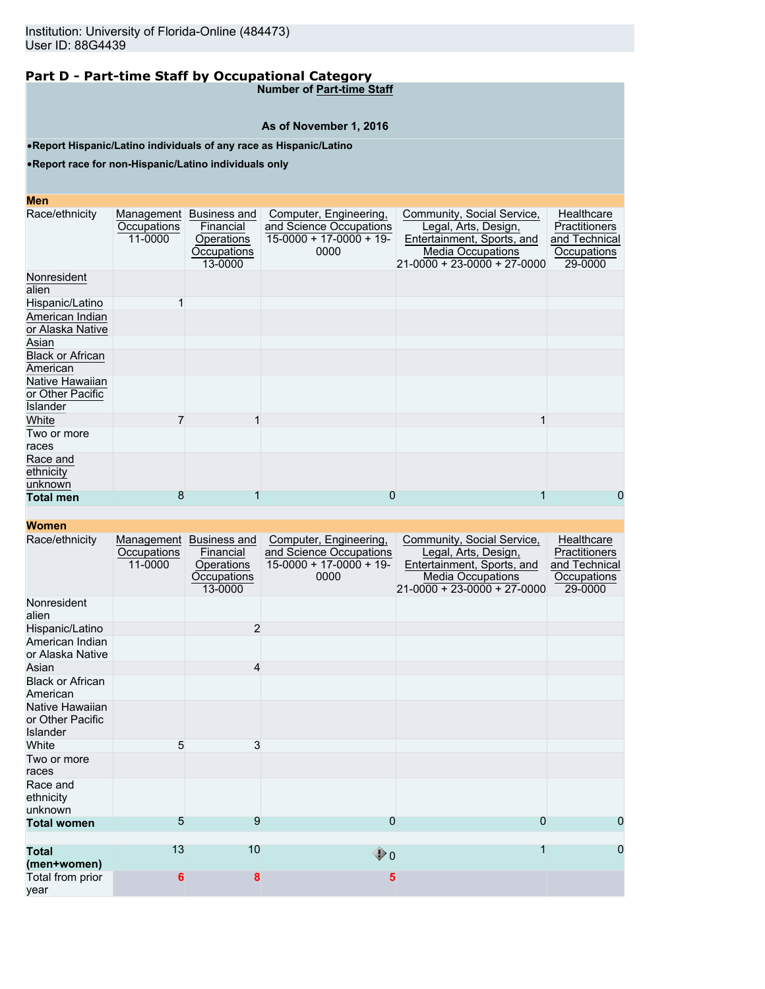**Number of Part-time Staff**

## **As of November 1, 2016**

•**Report Hispanic/Latino individuals of any race as Hispanic/Latino**

•**Report race for non-Hispanic/Latino individuals only**

### **Men**

| <b>MEIL</b>                                     |                                      |                                                                   |                                                                                       |                                                                                                                                             |                                                                        |
|-------------------------------------------------|--------------------------------------|-------------------------------------------------------------------|---------------------------------------------------------------------------------------|---------------------------------------------------------------------------------------------------------------------------------------------|------------------------------------------------------------------------|
| Race/ethnicity                                  | Management<br>Occupations<br>11-0000 | Business and<br>Financial<br>Operations<br>Occupations<br>13-0000 | Computer, Engineering,<br>and Science Occupations<br>$15-0000 + 17-0000 + 19$<br>0000 | Community, Social Service,<br>Legal, Arts, Design,<br>Entertainment, Sports, and<br><b>Media Occupations</b><br>21-0000 + 23-0000 + 27-0000 | Healthcare<br>Practitioners<br>and Technical<br>Occupations<br>29-0000 |
| Nonresident<br>alien                            |                                      |                                                                   |                                                                                       |                                                                                                                                             |                                                                        |
| Hispanic/Latino                                 |                                      |                                                                   |                                                                                       |                                                                                                                                             |                                                                        |
| American Indian<br>or Alaska Native             |                                      |                                                                   |                                                                                       |                                                                                                                                             |                                                                        |
| Asian                                           |                                      |                                                                   |                                                                                       |                                                                                                                                             |                                                                        |
| <b>Black or African</b><br>American             |                                      |                                                                   |                                                                                       |                                                                                                                                             |                                                                        |
| Native Hawaiian<br>or Other Pacific<br>Islander |                                      |                                                                   |                                                                                       |                                                                                                                                             |                                                                        |
| White                                           |                                      |                                                                   |                                                                                       |                                                                                                                                             |                                                                        |
| Two or more<br>races                            |                                      |                                                                   |                                                                                       |                                                                                                                                             |                                                                        |
| Race and<br>ethnicity<br>unknown                |                                      |                                                                   |                                                                                       |                                                                                                                                             |                                                                        |
| <b>Total men</b>                                | 8                                    |                                                                   | 0                                                                                     |                                                                                                                                             | 0                                                                      |
|                                                 |                                      |                                                                   |                                                                                       |                                                                                                                                             |                                                                        |

| ,,,,,,,,,                                       |                                      |                                                                   |                                                                                       |                                                                                                                                               |                                                                        |
|-------------------------------------------------|--------------------------------------|-------------------------------------------------------------------|---------------------------------------------------------------------------------------|-----------------------------------------------------------------------------------------------------------------------------------------------|------------------------------------------------------------------------|
| Race/ethnicity                                  | Management<br>Occupations<br>11-0000 | Business and<br>Financial<br>Operations<br>Occupations<br>13-0000 | Computer, Engineering,<br>and Science Occupations<br>$15-0000 + 17-0000 + 19$<br>0000 | Community, Social Service,<br>Legal, Arts, Design,<br>Entertainment, Sports, and<br><b>Media Occupations</b><br>$21-0000 + 23-0000 + 27-0000$ | Healthcare<br>Practitioners<br>and Technical<br>Occupations<br>29-0000 |
| Nonresident<br>alien                            |                                      |                                                                   |                                                                                       |                                                                                                                                               |                                                                        |
| Hispanic/Latino                                 |                                      | $\overline{2}$                                                    |                                                                                       |                                                                                                                                               |                                                                        |
| American Indian<br>or Alaska Native             |                                      |                                                                   |                                                                                       |                                                                                                                                               |                                                                        |
| Asian                                           |                                      | 4                                                                 |                                                                                       |                                                                                                                                               |                                                                        |
| <b>Black or African</b><br>American             |                                      |                                                                   |                                                                                       |                                                                                                                                               |                                                                        |
| Native Hawaiian<br>or Other Pacific<br>Islander |                                      |                                                                   |                                                                                       |                                                                                                                                               |                                                                        |
| White                                           | 5                                    | 3                                                                 |                                                                                       |                                                                                                                                               |                                                                        |
| Two or more<br>races                            |                                      |                                                                   |                                                                                       |                                                                                                                                               |                                                                        |
| Race and<br>ethnicity<br>unknown                |                                      |                                                                   |                                                                                       |                                                                                                                                               |                                                                        |
| <b>Total women</b>                              | 5                                    | 9                                                                 | 0                                                                                     | 0                                                                                                                                             | $\overline{0}$                                                         |
| <b>Total</b><br>(men+women)                     | 13                                   | 10                                                                | $\bigcirc$ 0                                                                          |                                                                                                                                               | 0                                                                      |
| Total from prior<br>vear                        | 6                                    | 8                                                                 | 5                                                                                     |                                                                                                                                               |                                                                        |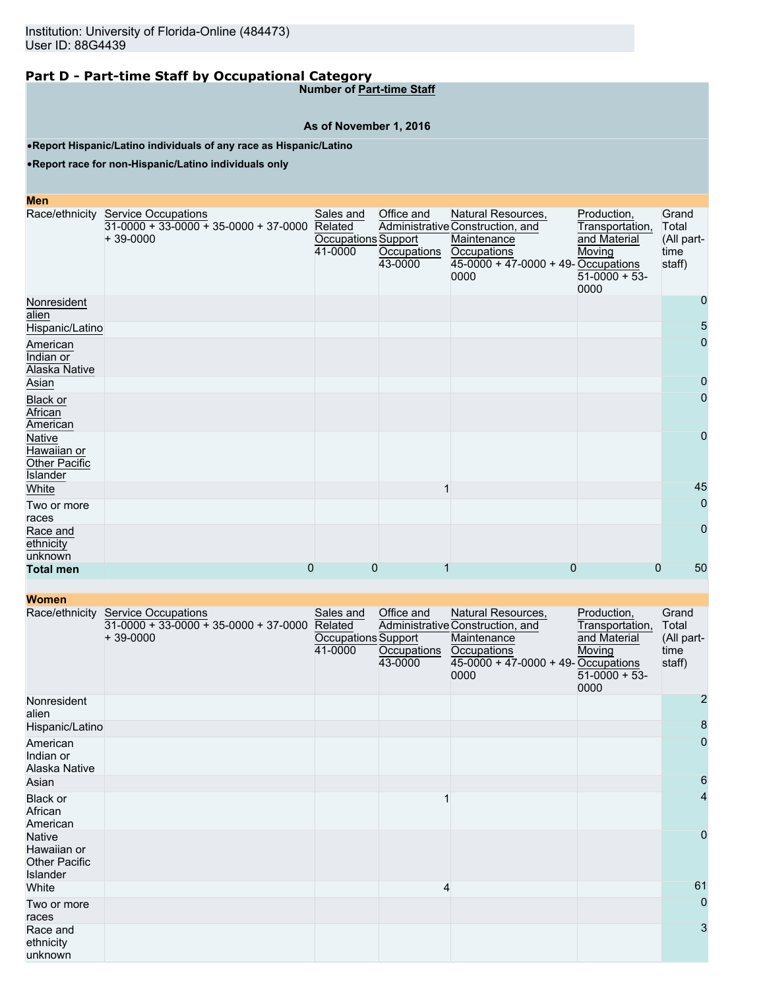**Number of Part-time Staff**

## **As of November 1, 2016**

•**Report Hispanic/Latino individuals of any race as Hispanic/Latino**

•**Report race for non-Hispanic/Latino individuals only**

| <b>Men</b>                                                |                                                                                             |                                                        |                                      |                                                                                                                                              |                                                                                      |                                                |
|-----------------------------------------------------------|---------------------------------------------------------------------------------------------|--------------------------------------------------------|--------------------------------------|----------------------------------------------------------------------------------------------------------------------------------------------|--------------------------------------------------------------------------------------|------------------------------------------------|
|                                                           | Race/ethnicity Service Occupations<br>$31-0000 + 33-0000 + 35-0000 + 37-0000$<br>$+39-0000$ | Sales and<br>Related<br>Occupations Support<br>41-0000 | Office and<br>Occupations<br>43-0000 | Natural Resources,<br>Administrative Construction, and<br>Maintenance<br><b>Occupations</b><br>$45-0000 + 47-0000 + 49$ -Occupations<br>0000 | Production,<br>Transportation,<br>and Material<br>Moving<br>$51-0000 + 53$ -<br>0000 | Grand<br>Total<br>(All part-<br>time<br>staff) |
| Nonresident<br>alien                                      |                                                                                             |                                                        |                                      |                                                                                                                                              |                                                                                      | 0                                              |
| Hispanic/Latino                                           |                                                                                             |                                                        |                                      |                                                                                                                                              |                                                                                      | 5                                              |
| American<br>Indian or<br>Alaska Native                    |                                                                                             |                                                        |                                      |                                                                                                                                              |                                                                                      | $\mathbf 0$                                    |
| Asian                                                     |                                                                                             |                                                        |                                      |                                                                                                                                              |                                                                                      | 0                                              |
| Black or<br>African<br>American                           |                                                                                             |                                                        |                                      |                                                                                                                                              |                                                                                      | $\overline{0}$                                 |
| Native<br>Hawaiian or<br><b>Other Pacific</b><br>Islander |                                                                                             |                                                        |                                      |                                                                                                                                              |                                                                                      | 0                                              |
| White                                                     |                                                                                             |                                                        |                                      |                                                                                                                                              |                                                                                      | 45                                             |
| Two or more<br>races                                      |                                                                                             |                                                        |                                      |                                                                                                                                              |                                                                                      | $\overline{0}$                                 |
| Race and<br>ethnicity<br>unknown                          |                                                                                             |                                                        |                                      |                                                                                                                                              |                                                                                      | 0                                              |
| <b>Total men</b>                                          | 0                                                                                           | 0                                                      |                                      | 0                                                                                                                                            | 0                                                                                    | 50                                             |

| <b>WATHEIT</b>                                                   |                                                                                     |                                                        |                                      |                                                                                                                                       |                                                                                    |                                                |
|------------------------------------------------------------------|-------------------------------------------------------------------------------------|--------------------------------------------------------|--------------------------------------|---------------------------------------------------------------------------------------------------------------------------------------|------------------------------------------------------------------------------------|------------------------------------------------|
| Race/ethnicity                                                   | <b>Service Occupations</b><br>$31-0000 + 33-0000 + 35-0000 + 37-0000$<br>$+39-0000$ | Sales and<br>Related<br>Occupations Support<br>41-0000 | Office and<br>Occupations<br>43-0000 | Natural Resources,<br>Administrative Construction, and<br>Maintenance<br>Occupations<br>$45-0000 + 47-0000 + 49$ -Occupations<br>0000 | Production,<br>Transportation,<br>and Material<br>Moving<br>$51-0000 + 53$<br>0000 | Grand<br>Total<br>(All part-<br>time<br>staff) |
| Nonresident<br>alien                                             |                                                                                     |                                                        |                                      |                                                                                                                                       |                                                                                    | 2                                              |
| Hispanic/Latino                                                  |                                                                                     |                                                        |                                      |                                                                                                                                       |                                                                                    | 8                                              |
| American<br>Indian or<br>Alaska Native                           |                                                                                     |                                                        |                                      |                                                                                                                                       |                                                                                    | 0                                              |
| Asian                                                            |                                                                                     |                                                        |                                      |                                                                                                                                       |                                                                                    | 6                                              |
| <b>Black or</b><br>African<br>American                           |                                                                                     |                                                        |                                      |                                                                                                                                       |                                                                                    | 4                                              |
| <b>Native</b><br>Hawaiian or<br><b>Other Pacific</b><br>Islander |                                                                                     |                                                        |                                      |                                                                                                                                       |                                                                                    | $\mathbf 0$                                    |
| White                                                            |                                                                                     |                                                        | 4                                    |                                                                                                                                       |                                                                                    | 61                                             |
| Two or more<br>races                                             |                                                                                     |                                                        |                                      |                                                                                                                                       |                                                                                    | 0                                              |
| Race and<br>ethnicity<br>unknown                                 |                                                                                     |                                                        |                                      |                                                                                                                                       |                                                                                    | 3                                              |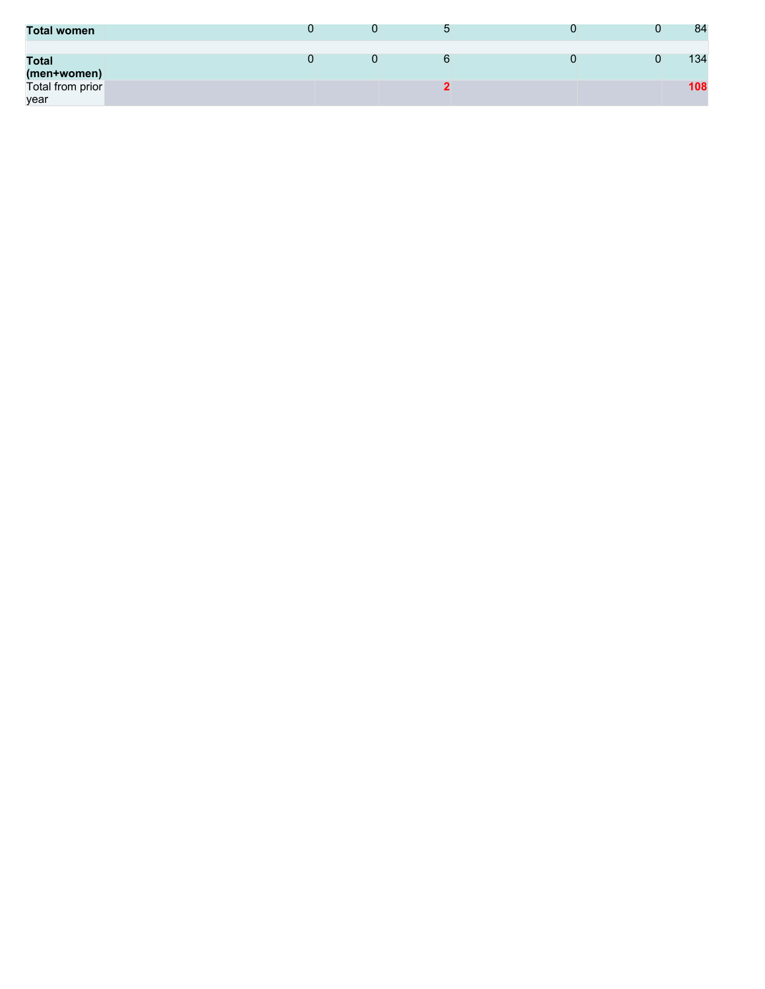| <b>Total women</b>              |  |  | 84  |
|---------------------------------|--|--|-----|
| <b>Total</b>                    |  |  | 134 |
| (men+women)<br>Total from prior |  |  | 108 |
| year                            |  |  |     |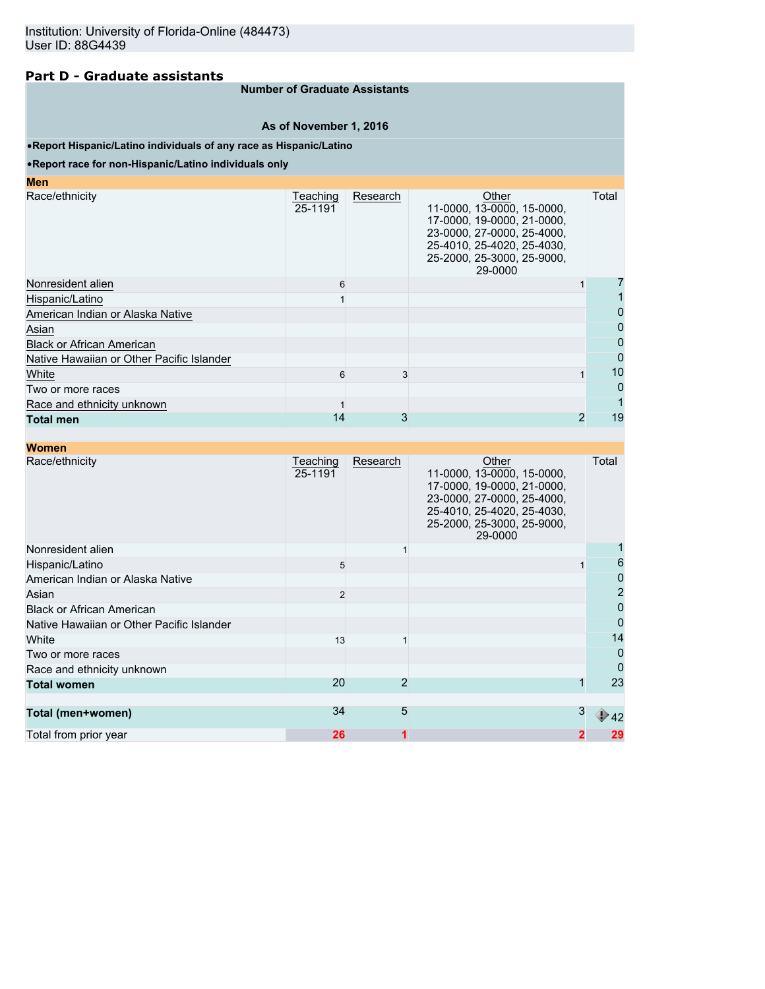## **Part D - Graduate assistants**

## **Number of Graduate Assistants**

**As of November 1, 2016**

### •**Report Hispanic/Latino individuals of any race as Hispanic/Latino**

### •**Report race for non-Hispanic/Latino individuals only**

| Teaching<br>25-1191 | Research | Other<br>11-0000, 13-0000, 15-0000,<br>17-0000, 19-0000, 21-0000,<br>23-0000, 27-0000, 25-4000,<br>25-4010, 25-4020, 25-4030,<br>25-2000, 25-3000, 25-9000,<br>29-0000 |                | Total |
|---------------------|----------|------------------------------------------------------------------------------------------------------------------------------------------------------------------------|----------------|-------|
| 6                   |          |                                                                                                                                                                        |                |       |
|                     |          |                                                                                                                                                                        |                |       |
|                     |          |                                                                                                                                                                        |                | 0     |
|                     |          |                                                                                                                                                                        |                |       |
|                     |          |                                                                                                                                                                        |                | 0     |
|                     |          |                                                                                                                                                                        |                | 0     |
| 6                   | 3        |                                                                                                                                                                        |                | 10    |
|                     |          |                                                                                                                                                                        |                | 0     |
|                     |          |                                                                                                                                                                        |                |       |
| 14                  | 3        |                                                                                                                                                                        | $\overline{2}$ | 19    |
|                     |          |                                                                                                                                                                        |                |       |

| <b>Women</b>                              |                     |          |                                                                                                                                                                        |   |       |
|-------------------------------------------|---------------------|----------|------------------------------------------------------------------------------------------------------------------------------------------------------------------------|---|-------|
| Race/ethnicity                            | Teaching<br>25-1191 | Research | Other<br>11-0000, 13-0000, 15-0000,<br>17-0000, 19-0000, 21-0000,<br>23-0000, 27-0000, 25-4000,<br>25-4010, 25-4020, 25-4030,<br>25-2000, 25-3000, 25-9000,<br>29-0000 |   | Total |
| Nonresident alien                         |                     |          |                                                                                                                                                                        |   |       |
| Hispanic/Latino                           | 5                   |          |                                                                                                                                                                        |   | 6     |
| American Indian or Alaska Native          |                     |          |                                                                                                                                                                        |   | 0     |
| Asian                                     | $\overline{2}$      |          |                                                                                                                                                                        |   | 2     |
| <b>Black or African American</b>          |                     |          |                                                                                                                                                                        |   | 0     |
| Native Hawaiian or Other Pacific Islander |                     |          |                                                                                                                                                                        |   | 0     |
| White                                     | 13                  |          |                                                                                                                                                                        |   | 14    |
| Two or more races                         |                     |          |                                                                                                                                                                        |   | 0     |
| Race and ethnicity unknown                |                     |          |                                                                                                                                                                        |   | 0     |
| <b>Total women</b>                        | 20                  | 2        |                                                                                                                                                                        |   | 23    |
| Total (men+women)                         | 34                  | 5        |                                                                                                                                                                        | 3 | 42    |
| Total from prior year                     | 26                  | 1        |                                                                                                                                                                        | 2 | 29    |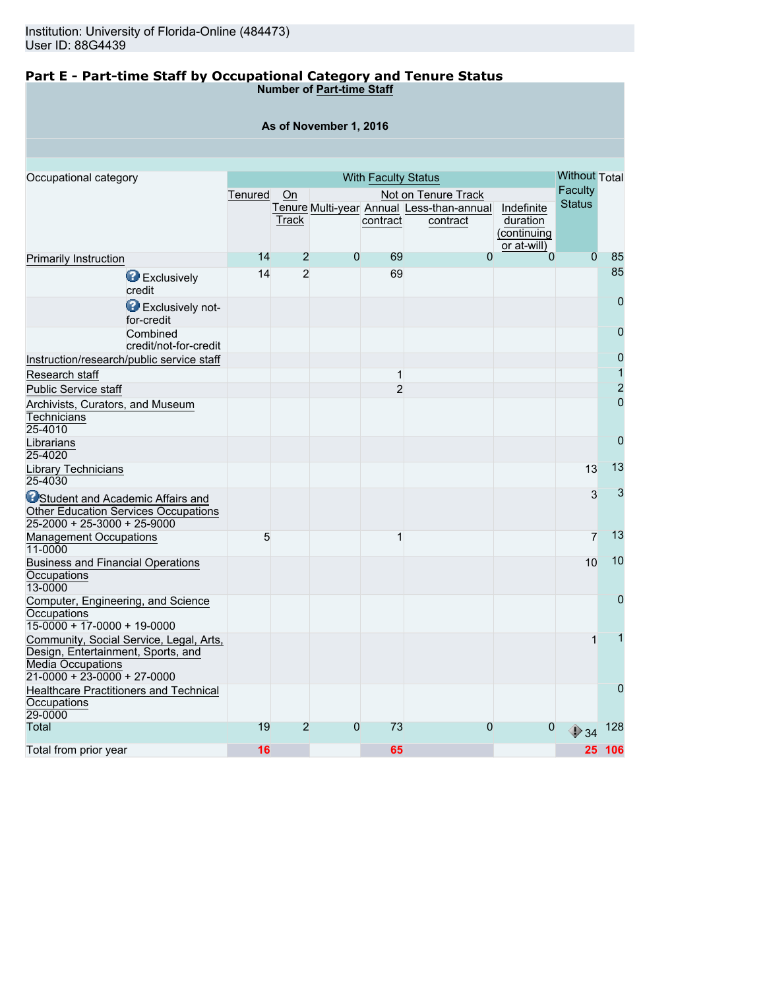### **Part E - Part-time Staff by Occupational Category and Tenure Status Number of Part-time Staff**

| As of November 1, 2016 |  |  |  |  |  |  |  |  |
|------------------------|--|--|--|--|--|--|--|--|
|------------------------|--|--|--|--|--|--|--|--|

| Occupational category                                                             | <b>With Faculty Status</b> |                |                |                |                                           |                | <b>Without Total</b> |                |
|-----------------------------------------------------------------------------------|----------------------------|----------------|----------------|----------------|-------------------------------------------|----------------|----------------------|----------------|
|                                                                                   | Tenured                    | <b>On</b>      |                |                | Not on Tenure Track                       |                | Faculty              |                |
|                                                                                   |                            |                |                |                | Tenure Multi-year Annual Less-than-annual | Indefinite     | <b>Status</b>        |                |
|                                                                                   |                            | Track          |                | contract       | contract                                  | duration       |                      |                |
|                                                                                   |                            |                |                |                |                                           | (continuing    |                      |                |
|                                                                                   |                            |                |                |                |                                           | or at-will)    |                      |                |
| <b>Primarily Instruction</b>                                                      | 14                         | $\overline{2}$ | $\mathbf{0}$   | 69             | $\overline{0}$                            | $\overline{0}$ | $\overline{0}$       | 85             |
| <b>B</b> Exclusively<br>credit                                                    | 14                         | $\overline{2}$ |                | 69             |                                           |                |                      | 85             |
| Exclusively not-<br>for-credit                                                    |                            |                |                |                |                                           |                |                      | $\overline{0}$ |
| Combined<br>credit/not-for-credit                                                 |                            |                |                |                |                                           |                |                      | $\overline{0}$ |
| Instruction/research/public service staff                                         |                            |                |                |                |                                           |                |                      | $\overline{0}$ |
| Research staff                                                                    |                            |                |                | 1              |                                           |                |                      | 1              |
| <b>Public Service staff</b>                                                       |                            |                |                | $\overline{2}$ |                                           |                |                      | $\overline{2}$ |
|                                                                                   |                            |                |                |                |                                           |                |                      | $\overline{0}$ |
| Archivists, Curators, and Museum<br>Technicians                                   |                            |                |                |                |                                           |                |                      |                |
| 25-4010                                                                           |                            |                |                |                |                                           |                |                      |                |
|                                                                                   |                            |                |                |                |                                           |                |                      | $\overline{0}$ |
| Librarians<br>25-4020                                                             |                            |                |                |                |                                           |                |                      |                |
| Library Technicians<br>25-4030                                                    |                            |                |                |                |                                           |                | 13                   | 13             |
| <b>O</b> Student and Academic Affairs and<br>Other Education Services Occupations |                            |                |                |                |                                           |                | 3                    | 3              |
| $25-2000 + 25-3000 + 25-9000$                                                     |                            |                |                |                |                                           |                |                      |                |
| <b>Management Occupations</b><br>11-0000                                          | 5                          |                |                | 1              |                                           |                | $\overline{7}$       | 13             |
| <b>Business and Financial Operations</b><br>Occupations                           |                            |                |                |                |                                           |                | 10                   | 10             |
| 13-0000                                                                           |                            |                |                |                |                                           |                |                      |                |
| Computer, Engineering, and Science<br>Occupations                                 |                            |                |                |                |                                           |                |                      | $\overline{0}$ |
| $15-0000 + 17-0000 + 19-0000$                                                     |                            |                |                |                |                                           |                |                      |                |
| Community, Social Service, Legal, Arts,<br>Design, Entertainment, Sports, and     |                            |                |                |                |                                           |                | 1                    |                |
| <b>Media Occupations</b>                                                          |                            |                |                |                |                                           |                |                      |                |
| $21-0000 + 23-0000 + 27-0000$                                                     |                            |                |                |                |                                           |                |                      |                |
| <b>Healthcare Practitioners and Technical</b>                                     |                            |                |                |                |                                           |                |                      | $\overline{0}$ |
| Occupations                                                                       |                            |                |                |                |                                           |                |                      |                |
| 29-0000                                                                           |                            |                |                |                |                                           |                |                      |                |
| Total                                                                             | 19                         | $\overline{2}$ | $\overline{0}$ | 73             | 0                                         | $\mathbf 0$    | $\bigcirc$ 34        | 128            |
| Total from prior year                                                             | 16                         |                |                | 65             |                                           |                |                      | 25 106         |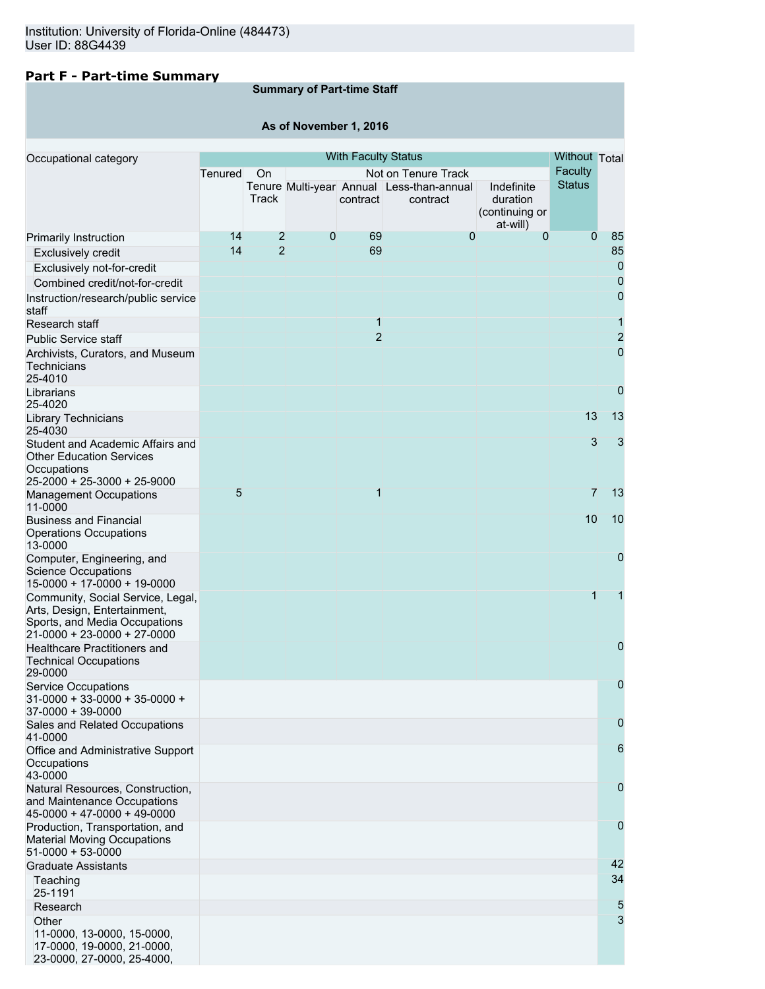## **Part F - Part-time Summary**

## **Summary of Part-time Staff**

## **As of November 1, 2016**

| Occupational category                                                                                                               |                 |                |   | <b>With Faculty Status</b> |                                                                              |                                                      | Without Total            |                |
|-------------------------------------------------------------------------------------------------------------------------------------|-----------------|----------------|---|----------------------------|------------------------------------------------------------------------------|------------------------------------------------------|--------------------------|----------------|
|                                                                                                                                     | Tenured         | On<br>Track    |   | contract                   | Not on Tenure Track<br>Tenure Multi-year Annual Less-than-annual<br>contract | Indefinite<br>duration<br>(continuing or<br>at-will) | Faculty<br><b>Status</b> |                |
| Primarily Instruction                                                                                                               | 14              | 2              | 0 | 69                         | 0                                                                            | $\Omega$                                             | $\Omega$                 | 85             |
| Exclusively credit                                                                                                                  | 14              | $\overline{2}$ |   | 69                         |                                                                              |                                                      |                          | 85             |
| Exclusively not-for-credit                                                                                                          |                 |                |   |                            |                                                                              |                                                      |                          | 0              |
| Combined credit/not-for-credit                                                                                                      |                 |                |   |                            |                                                                              |                                                      |                          | $\overline{0}$ |
| Instruction/research/public service                                                                                                 |                 |                |   |                            |                                                                              |                                                      |                          | $\mathbf 0$    |
| staff                                                                                                                               |                 |                |   |                            |                                                                              |                                                      |                          |                |
| Research staff                                                                                                                      |                 |                |   | $\mathbf{1}$               |                                                                              |                                                      |                          | 1              |
| <b>Public Service staff</b>                                                                                                         |                 |                |   | $\overline{2}$             |                                                                              |                                                      |                          | $\overline{2}$ |
| Archivists, Curators, and Museum<br>Technicians<br>25-4010                                                                          |                 |                |   |                            |                                                                              |                                                      |                          | 0              |
| Librarians<br>25-4020                                                                                                               |                 |                |   |                            |                                                                              |                                                      |                          | $\mathbf 0$    |
| Library Technicians<br>25-4030                                                                                                      |                 |                |   |                            |                                                                              |                                                      | 13                       | 13             |
| Student and Academic Affairs and<br><b>Other Education Services</b><br>Occupations<br>25-2000 + 25-3000 + 25-9000                   |                 |                |   |                            |                                                                              |                                                      | 3                        | 3              |
| <b>Management Occupations</b><br>11-0000                                                                                            | $5\overline{)}$ |                |   | $\mathbf{1}$               |                                                                              |                                                      | $\overline{7}$           | 13             |
| <b>Business and Financial</b><br><b>Operations Occupations</b><br>13-0000                                                           |                 |                |   |                            |                                                                              |                                                      | 10                       | 10             |
| Computer, Engineering, and<br><b>Science Occupations</b><br>15-0000 + 17-0000 + 19-0000                                             |                 |                |   |                            |                                                                              |                                                      |                          | 0              |
| Community, Social Service, Legal,<br>Arts, Design, Entertainment,<br>Sports, and Media Occupations<br>$21-0000 + 23-0000 + 27-0000$ |                 |                |   |                            |                                                                              |                                                      | 1                        | 1              |
| Healthcare Practitioners and<br><b>Technical Occupations</b><br>29-0000                                                             |                 |                |   |                            |                                                                              |                                                      |                          | 0              |
| <b>Service Occupations</b><br>$31-0000 + 33-0000 + 35-0000 +$<br>$37-0000 + 39-0000$                                                |                 |                |   |                            |                                                                              |                                                      |                          | 0              |
| Sales and Related Occupations<br>41-0000                                                                                            |                 |                |   |                            |                                                                              |                                                      |                          | 0              |
| Office and Administrative Support<br>Occupations<br>43-0000                                                                         |                 |                |   |                            |                                                                              |                                                      |                          | 6              |
| Natural Resources, Construction,<br>and Maintenance Occupations<br>$45-0000 + 47-0000 + 49-0000$                                    |                 |                |   |                            |                                                                              |                                                      |                          | 0              |
| Production, Transportation, and<br><b>Material Moving Occupations</b><br>$51-0000 + 53-0000$                                        |                 |                |   |                            |                                                                              |                                                      |                          | 0              |
| <b>Graduate Assistants</b><br>Teaching                                                                                              |                 |                |   |                            |                                                                              |                                                      |                          | 42<br>34       |
| 25-1191                                                                                                                             |                 |                |   |                            |                                                                              |                                                      |                          |                |
| Research                                                                                                                            |                 |                |   |                            |                                                                              |                                                      |                          | 5              |
| Other<br>11-0000, 13-0000, 15-0000,<br>17-0000, 19-0000, 21-0000,<br>23-0000, 27-0000, 25-4000,                                     |                 |                |   |                            |                                                                              |                                                      |                          | 3              |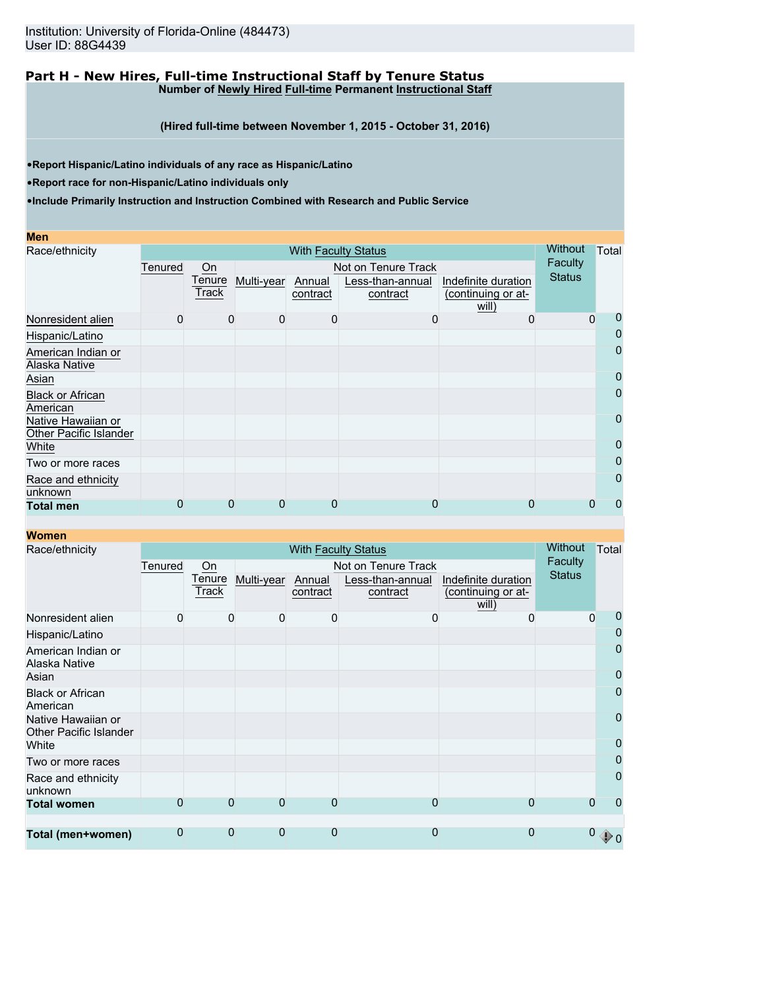### **Part H - New Hires, Full-time Instructional Staff by Tenure Status Number of Newly Hired Full-time Permanent Instructional Staff**

**(Hired full-time between November 1, 2015 - October 31, 2016)**

•**Report Hispanic/Latino individuals of any race as Hispanic/Latino**

•**Report race for non-Hispanic/Latino individuals only**

| Men                                          |              |                 |            |                    |                              |                                           |                |       |  |
|----------------------------------------------|--------------|-----------------|------------|--------------------|------------------------------|-------------------------------------------|----------------|-------|--|
| Race/ethnicity                               |              |                 |            |                    | <b>With Faculty Status</b>   |                                           | <b>Without</b> | Total |  |
|                                              | Tenured      | On              |            |                    | Not on Tenure Track          |                                           | Faculty        |       |  |
|                                              |              | Tenure<br>Track | Multi-year | Annual<br>contract | Less-than-annual<br>contract | Indefinite duration<br>(continuing or at- | <b>Status</b>  |       |  |
|                                              |              |                 |            |                    |                              | will)                                     |                |       |  |
| Nonresident alien                            | $\mathbf{0}$ | $\Omega$        | 0          | $\Omega$           | O                            | O                                         | $\Omega$       | 0     |  |
| Hispanic/Latino                              |              |                 |            |                    |                              |                                           |                | 0     |  |
| American Indian or                           |              |                 |            |                    |                              |                                           |                | 0     |  |
| Alaska Native                                |              |                 |            |                    |                              |                                           |                |       |  |
| Asian                                        |              |                 |            |                    |                              |                                           |                | 0     |  |
| <b>Black or African</b><br>American          |              |                 |            |                    |                              |                                           |                | 0     |  |
| Native Hawaiian or<br>Other Pacific Islander |              |                 |            |                    |                              |                                           |                | 0     |  |
| White                                        |              |                 |            |                    |                              |                                           |                | 0     |  |
| Two or more races                            |              |                 |            |                    |                              |                                           |                | 0     |  |
| Race and ethnicity<br>unknown                |              |                 |            |                    |                              |                                           |                | 0     |  |
| <b>Total men</b>                             | 0            | $\Omega$        | 0          | $\Omega$           | 0                            | 0                                         |                | 0     |  |

| <b>Women</b>                                        |                |                 |                |                    |                              |                                           |                |                |  |
|-----------------------------------------------------|----------------|-----------------|----------------|--------------------|------------------------------|-------------------------------------------|----------------|----------------|--|
| Race/ethnicity                                      |                |                 |                |                    | <b>With Faculty Status</b>   |                                           | <b>Without</b> | Total          |  |
|                                                     | Tenured        | On              |                |                    | Not on Tenure Track          |                                           | Faculty        |                |  |
|                                                     |                | Tenure<br>Track | Multi-year     | Annual<br>contract | Less-than-annual<br>contract | Indefinite duration<br>(continuing or at- | <b>Status</b>  |                |  |
|                                                     |                |                 |                |                    |                              | will)                                     |                |                |  |
| Nonresident alien                                   | 0              | $\Omega$        | 0              | 0                  | 0                            | $\Omega$                                  | $\Omega$       | 0              |  |
| Hispanic/Latino                                     |                |                 |                |                    |                              |                                           |                | 0              |  |
| American Indian or<br>Alaska Native                 |                |                 |                |                    |                              |                                           |                | 0              |  |
| Asian                                               |                |                 |                |                    |                              |                                           |                | 0              |  |
| <b>Black or African</b><br>American                 |                |                 |                |                    |                              |                                           |                | 0              |  |
| Native Hawaiian or<br><b>Other Pacific Islander</b> |                |                 |                |                    |                              |                                           |                | $\overline{0}$ |  |
| White                                               |                |                 |                |                    |                              |                                           |                | 0              |  |
| Two or more races                                   |                |                 |                |                    |                              |                                           |                | $\overline{0}$ |  |
| Race and ethnicity<br>unknown                       |                |                 |                |                    |                              |                                           |                | 0              |  |
| <b>Total women</b>                                  | $\overline{0}$ | $\Omega$        | $\overline{0}$ | $\overline{0}$     | $\overline{0}$               | $\overline{0}$                            | $\Omega$       | 0              |  |
|                                                     |                |                 |                |                    |                              |                                           |                |                |  |
| Total (men+women)                                   | $\overline{0}$ | $\Omega$        | 0              | $\overline{0}$     | 0                            | $\overline{0}$                            |                | ∜⊅ ∩           |  |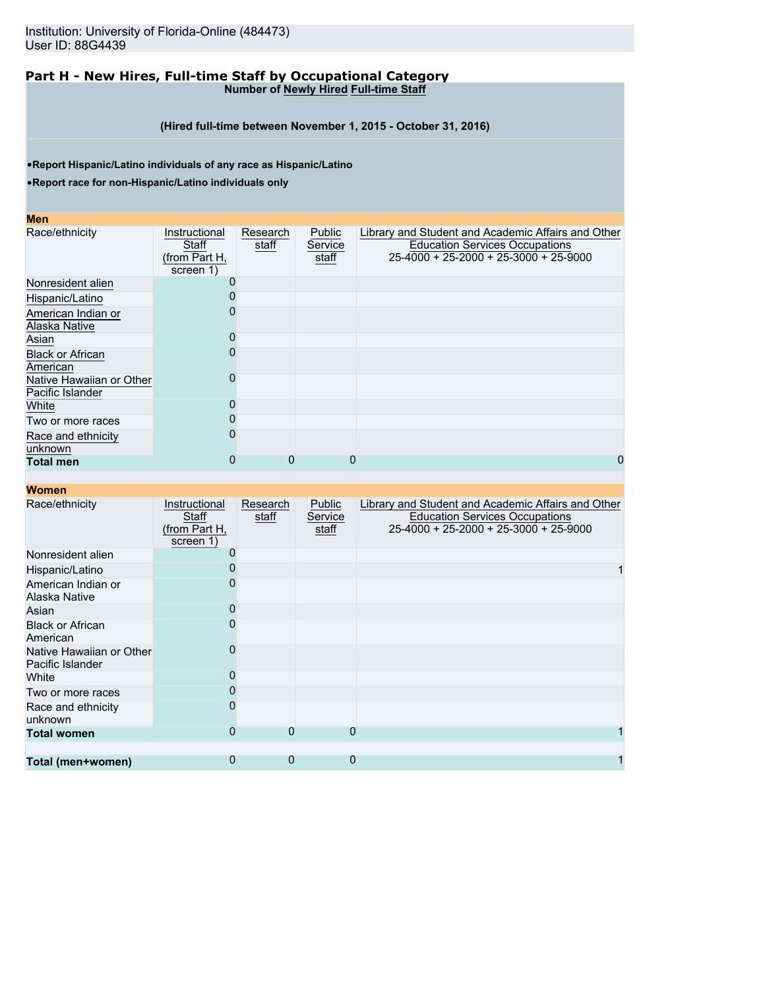### **Part H - New Hires, Full-time Staff by Occupational Category Number of Newly Hired Full-time Staff**

**(Hired full-time between November 1, 2015 - October 31, 2016)**

•**Report Hispanic/Latino individuals of any race as Hispanic/Latino**

•**Report race for non-Hispanic/Latino individuals only**

#### **Men**

| Race/ethnicity           | Instructional | Research | Public  | Library and Student and Academic Affairs and Other |
|--------------------------|---------------|----------|---------|----------------------------------------------------|
|                          | Staff         | staff    | Service | <b>Education Services Occupations</b>              |
|                          | (from Part H, |          | staff   | $25-4000 + 25-2000 + 25-3000 + 25-9000$            |
|                          | screen 1)     |          |         |                                                    |
| Nonresident alien        |               |          |         |                                                    |
| Hispanic/Latino          |               |          |         |                                                    |
| American Indian or       |               |          |         |                                                    |
| Alaska Native            |               |          |         |                                                    |
| Asian                    |               |          |         |                                                    |
| <b>Black or African</b>  |               |          |         |                                                    |
| American                 |               |          |         |                                                    |
| Native Hawaiian or Other |               |          |         |                                                    |
| Pacific Islander         |               |          |         |                                                    |
| White                    |               |          |         |                                                    |
| Two or more races        |               |          |         |                                                    |
| Race and ethnicity       |               |          |         |                                                    |
| unknown                  |               |          |         |                                                    |
| <b>Total men</b>         | O             | 0        | 0       | 0                                                  |

| Race/ethnicity                               | Instructional<br>Staff<br>(from Part H,<br>screen 1) | Research<br>staff | Public<br>Service<br>staff | Library and Student and Academic Affairs and Other<br><b>Education Services Occupations</b><br>25-4000 + 25-2000 + 25-3000 + 25-9000 |
|----------------------------------------------|------------------------------------------------------|-------------------|----------------------------|--------------------------------------------------------------------------------------------------------------------------------------|
| Nonresident alien                            |                                                      |                   |                            |                                                                                                                                      |
| Hispanic/Latino                              |                                                      |                   |                            |                                                                                                                                      |
| American Indian or<br>Alaska Native          |                                                      |                   |                            |                                                                                                                                      |
| Asian                                        |                                                      |                   |                            |                                                                                                                                      |
| <b>Black or African</b><br>American          |                                                      |                   |                            |                                                                                                                                      |
| Native Hawaiian or Other<br>Pacific Islander |                                                      |                   |                            |                                                                                                                                      |
| White                                        |                                                      |                   |                            |                                                                                                                                      |
| Two or more races                            |                                                      |                   |                            |                                                                                                                                      |
| Race and ethnicity<br>unknown                |                                                      |                   |                            |                                                                                                                                      |
| <b>Total women</b>                           | 0                                                    | $\Omega$          |                            |                                                                                                                                      |
|                                              |                                                      |                   |                            |                                                                                                                                      |
| Total (men+women)                            | 0                                                    | 0                 | 0                          |                                                                                                                                      |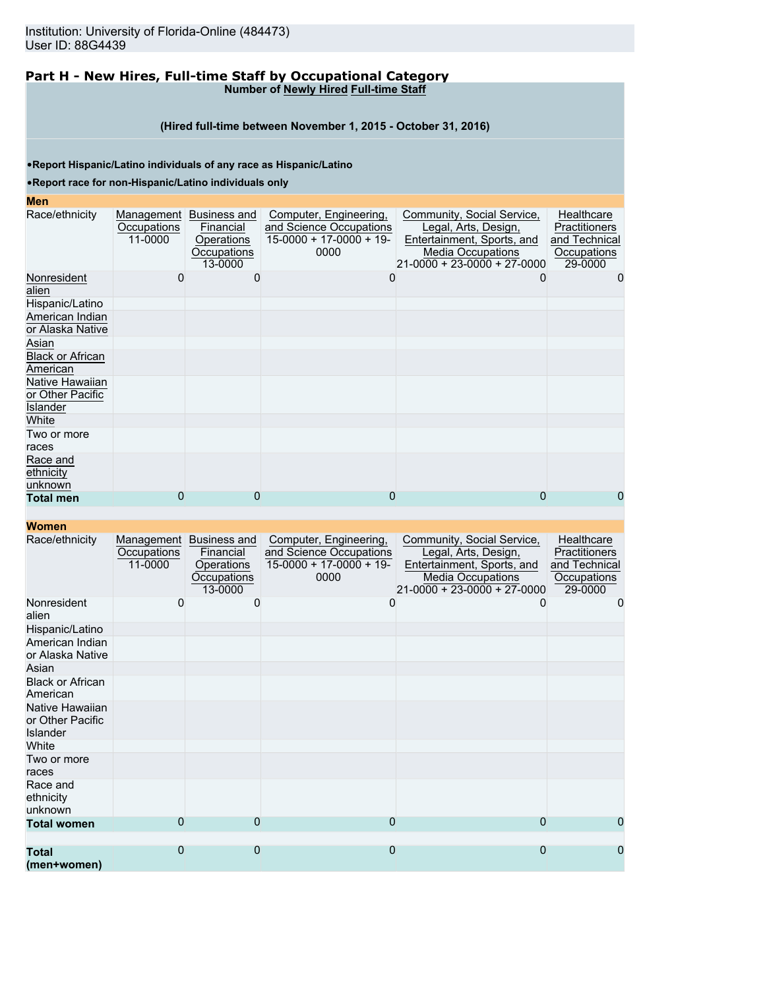### **Part H - New Hires, Full-time Staff by Occupational Category Number of Newly Hired Full-time Staff**

### **(Hired full-time between November 1, 2015 - October 31, 2016)**

•**Report Hispanic/Latino individuals of any race as Hispanic/Latino**

•**Report race for non-Hispanic/Latino individuals only**

#### **Men**

| men                                             |                        |                                                                              |                                                                                        |                                                                                                                                             |                                                                               |
|-------------------------------------------------|------------------------|------------------------------------------------------------------------------|----------------------------------------------------------------------------------------|---------------------------------------------------------------------------------------------------------------------------------------------|-------------------------------------------------------------------------------|
| Race/ethnicity                                  | Occupations<br>11-0000 | Management Business and<br>Financial<br>Operations<br>Occupations<br>13-0000 | Computer, Engineering,<br>and Science Occupations<br>$15-0000 + 17-0000 + 19-$<br>0000 | Community, Social Service,<br>Legal, Arts, Design,<br>Entertainment, Sports, and<br><b>Media Occupations</b><br>21-0000 + 23-0000 + 27-0000 | Healthcare<br><b>Practitioners</b><br>and Technical<br>Occupations<br>29-0000 |
| Nonresident<br>alien                            | 0                      | 0                                                                            | 0                                                                                      | 0                                                                                                                                           | 0                                                                             |
| Hispanic/Latino                                 |                        |                                                                              |                                                                                        |                                                                                                                                             |                                                                               |
| American Indian<br>or Alaska Native             |                        |                                                                              |                                                                                        |                                                                                                                                             |                                                                               |
| Asian                                           |                        |                                                                              |                                                                                        |                                                                                                                                             |                                                                               |
| <b>Black or African</b><br>American             |                        |                                                                              |                                                                                        |                                                                                                                                             |                                                                               |
| Native Hawaiian<br>or Other Pacific<br>Islander |                        |                                                                              |                                                                                        |                                                                                                                                             |                                                                               |
| White                                           |                        |                                                                              |                                                                                        |                                                                                                                                             |                                                                               |
| Two or more<br>races                            |                        |                                                                              |                                                                                        |                                                                                                                                             |                                                                               |
| Race and<br>ethnicity<br>unknown                |                        |                                                                              |                                                                                        |                                                                                                                                             |                                                                               |
| <b>Total men</b>                                |                        |                                                                              | O                                                                                      |                                                                                                                                             | 0                                                                             |

|  |  | Women |  |  |
|--|--|-------|--|--|
|  |  |       |  |  |
|  |  |       |  |  |

| wullen                                          |                        |                                                                              |                                                                                       |                                                                                                                                                     |                                                                        |
|-------------------------------------------------|------------------------|------------------------------------------------------------------------------|---------------------------------------------------------------------------------------|-----------------------------------------------------------------------------------------------------------------------------------------------------|------------------------------------------------------------------------|
| Race/ethnicity                                  | Occupations<br>11-0000 | Management Business and<br>Financial<br>Operations<br>Occupations<br>13-0000 | Computer, Engineering,<br>and Science Occupations<br>$15-0000 + 17-0000 + 19$<br>0000 | Community, Social Service,<br>Legal, Arts, Design,<br>Entertainment, Sports, and<br><b>Media Occupations</b><br>$21 - 0000 + 23 - 0000 + 27 - 0000$ | Healthcare<br>Practitioners<br>and Technical<br>Occupations<br>29-0000 |
| Nonresident<br>alien                            | 0                      | O                                                                            | 0                                                                                     |                                                                                                                                                     | 0                                                                      |
| Hispanic/Latino                                 |                        |                                                                              |                                                                                       |                                                                                                                                                     |                                                                        |
| American Indian<br>or Alaska Native             |                        |                                                                              |                                                                                       |                                                                                                                                                     |                                                                        |
| Asian                                           |                        |                                                                              |                                                                                       |                                                                                                                                                     |                                                                        |
| <b>Black or African</b><br>American             |                        |                                                                              |                                                                                       |                                                                                                                                                     |                                                                        |
| Native Hawaiian<br>or Other Pacific<br>Islander |                        |                                                                              |                                                                                       |                                                                                                                                                     |                                                                        |
| White                                           |                        |                                                                              |                                                                                       |                                                                                                                                                     |                                                                        |
| Two or more<br>races                            |                        |                                                                              |                                                                                       |                                                                                                                                                     |                                                                        |
| Race and<br>ethnicity<br>unknown                |                        |                                                                              |                                                                                       |                                                                                                                                                     |                                                                        |
| <b>Total women</b>                              | 0                      | $\Omega$                                                                     | $\mathbf 0$                                                                           | $\overline{0}$                                                                                                                                      | 0                                                                      |
|                                                 |                        |                                                                              |                                                                                       |                                                                                                                                                     |                                                                        |
| <b>Total</b><br>(men+women)                     | $\overline{0}$         | $\Omega$                                                                     | $\overline{0}$                                                                        | $\overline{0}$                                                                                                                                      | 0                                                                      |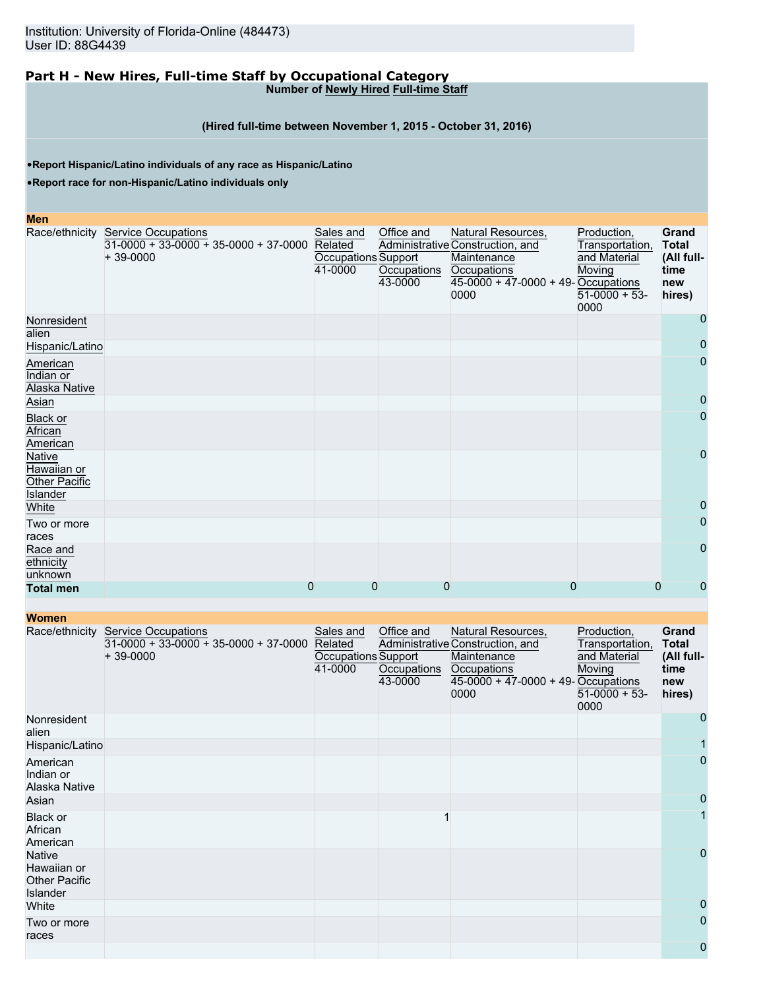### **Part H - New Hires, Full-time Staff by Occupational Category Number of Newly Hired Full-time Staff**

## **(Hired full-time between November 1, 2015 - October 31, 2016)**

•**Report Hispanic/Latino individuals of any race as Hispanic/Latino**

•**Report race for non-Hispanic/Latino individuals only**

#### **Men**

|                                                                         | Race/ethnicity Service Occupations<br>$31-0000 + 33-0000 + 35-0000 + 37-0000$<br>$+39-0000$ | Sales and<br>Related<br>Occupations Support<br>41-0000 | Office and<br>Occupations<br>43-0000 | Natural Resources,<br>Administrative Construction, and<br>Maintenance<br>Occupations<br>$45-0000 + 47-0000 + 49$ -Occupations<br>0000 | Production,<br>Transportation,<br>and Material<br>Moving<br>$51-0000 + 53$<br>0000 | Grand<br><b>Total</b><br>(All full-<br>time<br>new<br>hires) |
|-------------------------------------------------------------------------|---------------------------------------------------------------------------------------------|--------------------------------------------------------|--------------------------------------|---------------------------------------------------------------------------------------------------------------------------------------|------------------------------------------------------------------------------------|--------------------------------------------------------------|
| Nonresident<br>alien                                                    |                                                                                             |                                                        |                                      |                                                                                                                                       |                                                                                    | 0                                                            |
| Hispanic/Latino                                                         |                                                                                             |                                                        |                                      |                                                                                                                                       |                                                                                    | 0                                                            |
| American<br>Indian or<br>Alaska Native                                  |                                                                                             |                                                        |                                      |                                                                                                                                       |                                                                                    | $\mathbf 0$                                                  |
| Asian                                                                   |                                                                                             |                                                        |                                      |                                                                                                                                       |                                                                                    | 0                                                            |
| <b>Black or</b><br>African<br>American                                  |                                                                                             |                                                        |                                      |                                                                                                                                       |                                                                                    | $\mathbf 0$                                                  |
| <b>Native</b><br>Hawaiian or<br><b>Other Pacific</b><br><b>Islander</b> |                                                                                             |                                                        |                                      |                                                                                                                                       |                                                                                    | 0                                                            |
| White                                                                   |                                                                                             |                                                        |                                      |                                                                                                                                       |                                                                                    | 0                                                            |
| Two or more<br>races                                                    |                                                                                             |                                                        |                                      |                                                                                                                                       |                                                                                    | 0                                                            |
| Race and<br>ethnicity<br>unknown                                        |                                                                                             |                                                        |                                      |                                                                                                                                       |                                                                                    | $\Omega$                                                     |
| <b>Total men</b>                                                        | 0                                                                                           | 0                                                      | 0                                    | 0                                                                                                                                     | 0                                                                                  | 0                                                            |

| <u>WUITEN</u>                                                    |                                                                                     |                                                        |                                      |                                                                                                                                       |                                                                                    |                                                                     |
|------------------------------------------------------------------|-------------------------------------------------------------------------------------|--------------------------------------------------------|--------------------------------------|---------------------------------------------------------------------------------------------------------------------------------------|------------------------------------------------------------------------------------|---------------------------------------------------------------------|
| Race/ethnicity                                                   | <b>Service Occupations</b><br>$31-0000 + 33-0000 + 35-0000 + 37-0000$<br>$+39-0000$ | Sales and<br>Related<br>Occupations Support<br>41-0000 | Office and<br>Occupations<br>43-0000 | Natural Resources,<br>Administrative Construction, and<br>Maintenance<br>Occupations<br>$45-0000 + 47-0000 + 49$ -Occupations<br>0000 | Production,<br>Transportation,<br>and Material<br>Moving<br>$51-0000 + 53$<br>0000 | <b>Grand</b><br><b>Total</b><br>(All full-<br>time<br>new<br>hires) |
| Nonresident<br>alien                                             |                                                                                     |                                                        |                                      |                                                                                                                                       |                                                                                    | 0                                                                   |
| Hispanic/Latino                                                  |                                                                                     |                                                        |                                      |                                                                                                                                       |                                                                                    |                                                                     |
| American<br>Indian or<br>Alaska Native                           |                                                                                     |                                                        |                                      |                                                                                                                                       |                                                                                    | 0                                                                   |
| Asian                                                            |                                                                                     |                                                        |                                      |                                                                                                                                       |                                                                                    | 0                                                                   |
| <b>Black or</b><br>African<br>American                           |                                                                                     |                                                        |                                      |                                                                                                                                       |                                                                                    |                                                                     |
| Native<br>Hawaiian or<br><b>Other Pacific</b><br><b>Islander</b> |                                                                                     |                                                        |                                      |                                                                                                                                       |                                                                                    | 0                                                                   |
| White                                                            |                                                                                     |                                                        |                                      |                                                                                                                                       |                                                                                    | 0                                                                   |
| Two or more<br>races                                             |                                                                                     |                                                        |                                      |                                                                                                                                       |                                                                                    | 0                                                                   |
|                                                                  |                                                                                     |                                                        |                                      |                                                                                                                                       |                                                                                    | 0                                                                   |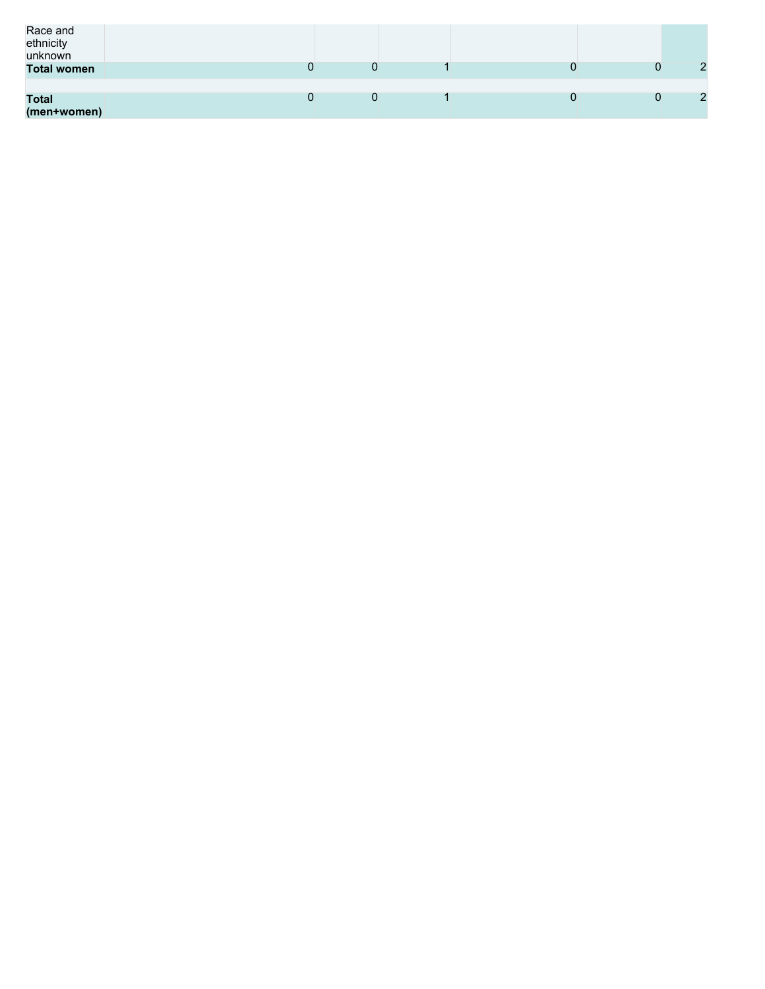| Race and<br>ethnicity<br>unknown |  |  |   |
|----------------------------------|--|--|---|
| <b>Total women</b>               |  |  | ົ |
| <b>Total</b><br>(men+women)      |  |  |   |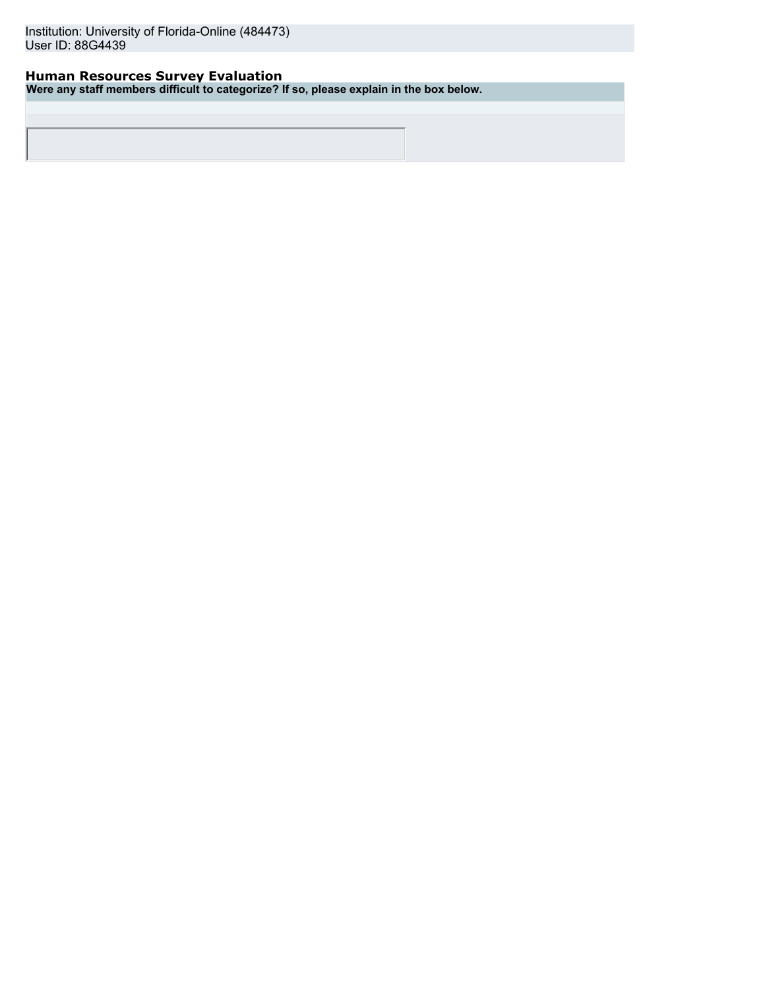## **Human Resources Survey Evaluation**

**Were any staff members difficult to categorize? If so, please explain in the box below.**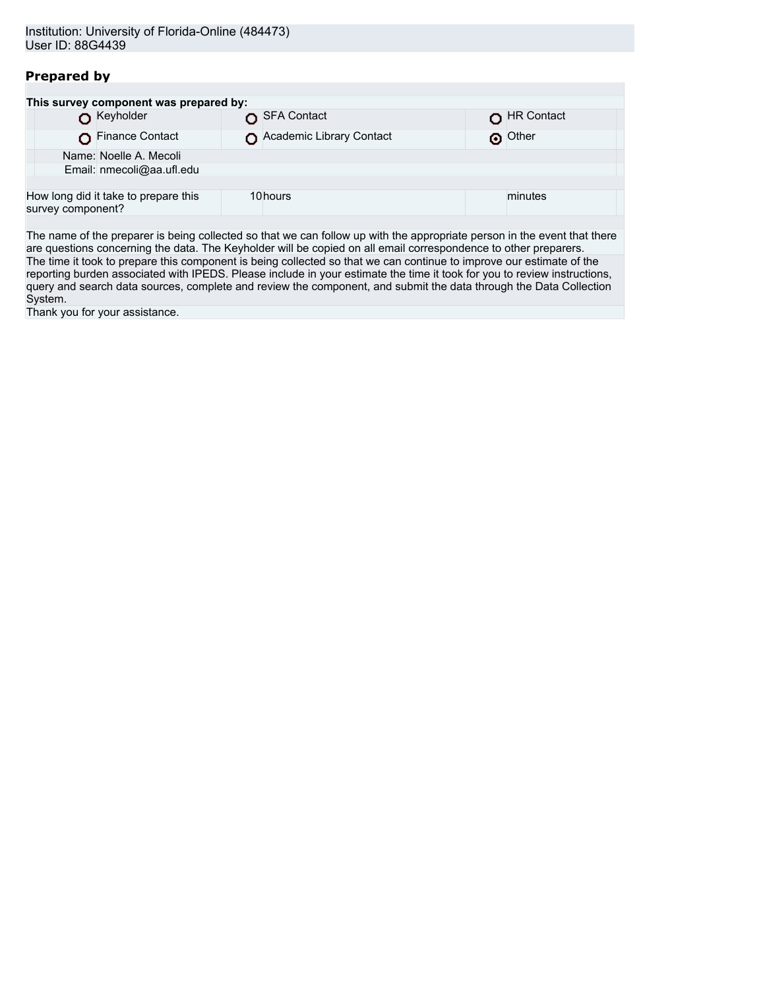## **Prepared by**

| SFA Contact               | HR Contact                                                                     |  |  |  |  |  |
|---------------------------|--------------------------------------------------------------------------------|--|--|--|--|--|
| Academic Library Contact  | O Other                                                                        |  |  |  |  |  |
|                           |                                                                                |  |  |  |  |  |
| Email: nmecoli@aa.ufl.edu |                                                                                |  |  |  |  |  |
|                           |                                                                                |  |  |  |  |  |
| 10hours                   | minutes                                                                        |  |  |  |  |  |
|                           | This survey component was prepared by:<br>How long did it take to prepare this |  |  |  |  |  |

The name of the preparer is being collected so that we can follow up with the appropriate person in the event that there are questions concerning the data. The Keyholder will be copied on all email correspondence to other preparers. The time it took to prepare this component is being collected so that we can continue to improve our estimate of the reporting burden associated with IPEDS. Please include in your estimate the time it took for you to review instructions, query and search data sources, complete and review the component, and submit the data through the Data Collection System.

Thank you for your assistance.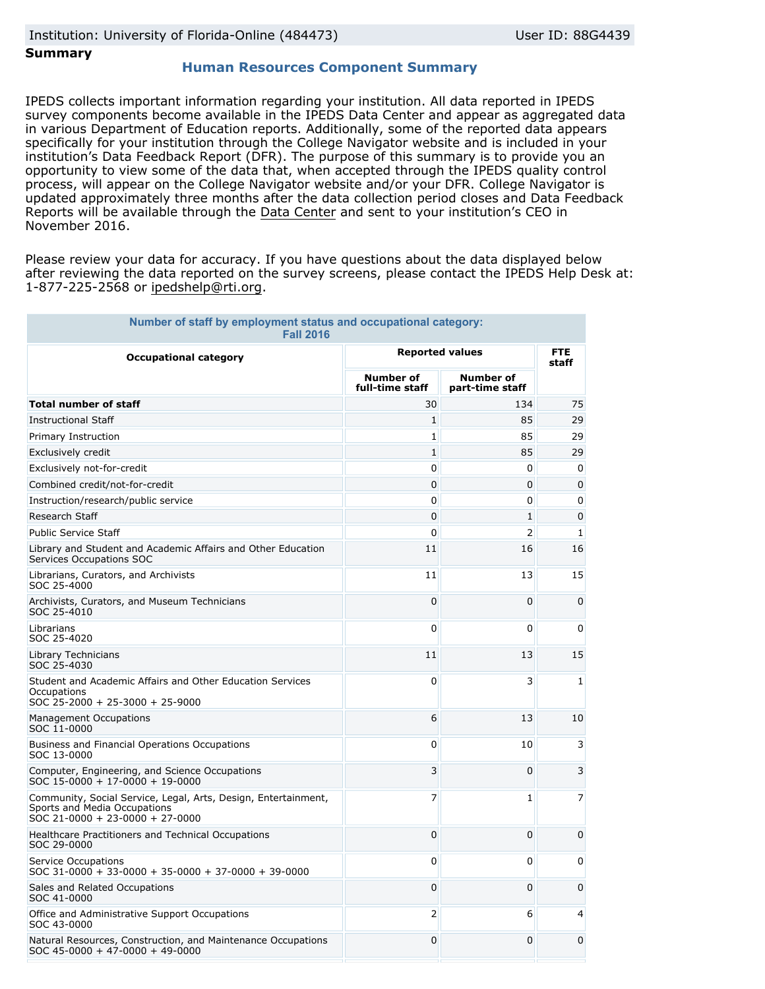## **Summary**

## **Human Resources Component Summary**

IPEDS collects important information regarding your institution. All data reported in IPEDS survey components become available in the IPEDS Data Center and appear as aggregated data in various Department of Education reports. Additionally, some of the reported data appears specifically for your institution through the College Navigator website and is included in your institution's Data Feedback Report (DFR). The purpose of this summary is to provide you an opportunity to view some of the data that, when accepted through the IPEDS quality control process, will appear on the College Navigator website and/or your DFR. College Navigator is updated approximately three months after the data collection period closes and Data Feedback Reports will be available through the [Data Center](http://nces.ed.gov/ipeds/datacenter/) and sent to your institution's CEO in November 2016.

Please review your data for accuracy. If you have questions about the data displayed below after reviewing the data reported on the survey screens, please contact the IPEDS Help Desk at: 1-877-225-2568 or ipedshelp@rti.org.

| Number of staff by employment status and occupational category:<br><b>Fall 2016</b>                                               |                                     |                                     |              |  |  |  |  |  |
|-----------------------------------------------------------------------------------------------------------------------------------|-------------------------------------|-------------------------------------|--------------|--|--|--|--|--|
| <b>Occupational category</b>                                                                                                      | <b>Reported values</b>              | <b>FTE</b><br>staff                 |              |  |  |  |  |  |
|                                                                                                                                   | <b>Number of</b><br>full-time staff | <b>Number of</b><br>part-time staff |              |  |  |  |  |  |
| <b>Total number of staff</b>                                                                                                      | 30                                  | 134                                 | 75           |  |  |  |  |  |
| <b>Instructional Staff</b>                                                                                                        | 1                                   | 85                                  | 29           |  |  |  |  |  |
| Primary Instruction                                                                                                               | 1                                   | 85                                  | 29           |  |  |  |  |  |
| Exclusively credit                                                                                                                | 1                                   | 85                                  | 29           |  |  |  |  |  |
| Exclusively not-for-credit                                                                                                        | 0                                   | $\Omega$                            | 0            |  |  |  |  |  |
| Combined credit/not-for-credit                                                                                                    | 0                                   | 0                                   | 0            |  |  |  |  |  |
| Instruction/research/public service                                                                                               | 0                                   | 0                                   | 0            |  |  |  |  |  |
| Research Staff                                                                                                                    | 0                                   | $\mathbf{1}$                        | $\Omega$     |  |  |  |  |  |
| <b>Public Service Staff</b>                                                                                                       | 0                                   | $\overline{2}$                      | $\mathbf{1}$ |  |  |  |  |  |
| Library and Student and Academic Affairs and Other Education<br>Services Occupations SOC                                          | 11                                  | 16                                  | 16           |  |  |  |  |  |
| Librarians, Curators, and Archivists<br>SOC 25-4000                                                                               | 11                                  | 13                                  | 15           |  |  |  |  |  |
| Archivists, Curators, and Museum Technicians<br>SOC 25-4010                                                                       | $\mathbf 0$                         | 0                                   | 0            |  |  |  |  |  |
| Librarians<br>SOC 25-4020                                                                                                         | 0                                   | 0                                   | 0            |  |  |  |  |  |
| Library Technicians<br>SOC 25-4030                                                                                                | 11                                  | 13                                  | 15           |  |  |  |  |  |
| Student and Academic Affairs and Other Education Services<br>Occupations<br>SOC 25-2000 + 25-3000 + 25-9000                       | 0                                   | 3                                   | $\mathbf{1}$ |  |  |  |  |  |
| <b>Management Occupations</b><br>SOC 11-0000                                                                                      | 6                                   | 13                                  | 10           |  |  |  |  |  |
| Business and Financial Operations Occupations<br>SOC 13-0000                                                                      | 0                                   | 10                                  | 3            |  |  |  |  |  |
| Computer, Engineering, and Science Occupations<br>SOC 15-0000 + 17-0000 + 19-0000                                                 | 3                                   | 0                                   | 3            |  |  |  |  |  |
| Community, Social Service, Legal, Arts, Design, Entertainment,<br>Sports and Media Occupations<br>SOC 21-0000 + 23-0000 + 27-0000 | 7                                   | $\mathbf{1}$                        | 7            |  |  |  |  |  |
| Healthcare Practitioners and Technical Occupations<br>SOC 29-0000                                                                 | $\Omega$                            | $\Omega$                            | 0            |  |  |  |  |  |
| Service Occupations<br>SOC 31-0000 + 33-0000 + 35-0000 + 37-0000 + 39-0000                                                        | 0                                   | 0                                   | 0            |  |  |  |  |  |
| Sales and Related Occupations<br>SOC 41-0000                                                                                      | 0                                   | 0                                   | 0            |  |  |  |  |  |
| Office and Administrative Support Occupations<br>SOC 43-0000                                                                      | $\overline{2}$                      | 6                                   | 4            |  |  |  |  |  |
| Natural Resources, Construction, and Maintenance Occupations<br>$SOC$ 45-0000 + 47-0000 + 49-0000                                 | 0                                   | 0                                   | 0            |  |  |  |  |  |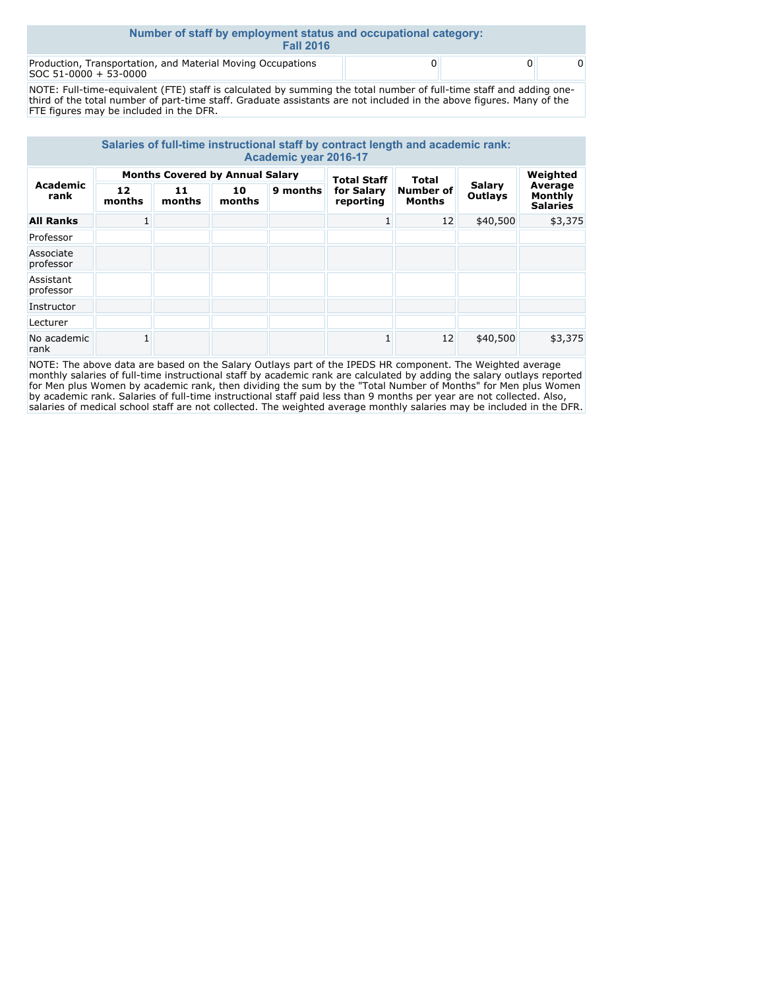| Number of staff by employment status and occupational category:<br><b>Fall 2016</b>  |  |  |  |  |  |
|--------------------------------------------------------------------------------------|--|--|--|--|--|
| Production, Transportation, and Material Moving Occupations<br>SOC 51-0000 + 53-0000 |  |  |  |  |  |

NOTE: Full-time-equivalent (FTE) staff is calculated by summing the total number of full-time staff and adding onethird of the total number of part-time staff. Graduate assistants are not included in the above figures. Many of the FTE figures may be included in the DFR.

| Salaries of full-time instructional staff by contract length and academic rank:<br>Academic year 2016-17 |                                        |              |              |                    |                         |                                   |                          |                                              |
|----------------------------------------------------------------------------------------------------------|----------------------------------------|--------------|--------------|--------------------|-------------------------|-----------------------------------|--------------------------|----------------------------------------------|
| <b>Academic</b><br>rank                                                                                  | <b>Months Covered by Annual Salary</b> |              |              | <b>Total Staff</b> | <b>Total</b>            |                                   | Weighted                 |                                              |
|                                                                                                          | 12<br>months                           | 11<br>months | 10<br>months | 9 months           | for Salary<br>reporting | <b>Number of</b><br><b>Months</b> | Salary<br><b>Outlays</b> | Average<br><b>Monthly</b><br><b>Salaries</b> |
| <b>All Ranks</b>                                                                                         |                                        |              |              |                    |                         | 12                                | \$40,500                 | \$3,375                                      |
| Professor                                                                                                |                                        |              |              |                    |                         |                                   |                          |                                              |
| Associate<br>professor                                                                                   |                                        |              |              |                    |                         |                                   |                          |                                              |
| Assistant<br>professor                                                                                   |                                        |              |              |                    |                         |                                   |                          |                                              |
| Instructor                                                                                               |                                        |              |              |                    |                         |                                   |                          |                                              |
| Lecturer                                                                                                 |                                        |              |              |                    |                         |                                   |                          |                                              |
| No academic<br>rank                                                                                      |                                        |              |              |                    |                         | 12                                | \$40,500                 | \$3,375                                      |

NOTE: The above data are based on the Salary Outlays part of the IPEDS HR component. The Weighted average monthly salaries of full-time instructional staff by academic rank are calculated by adding the salary outlays reported for Men plus Women by academic rank, then dividing the sum by the "Total Number of Months" for Men plus Women by academic rank. Salaries of full-time instructional staff paid less than 9 months per year are not collected. Also, salaries of medical school staff are not collected. The weighted average monthly salaries may be included in the DFR.